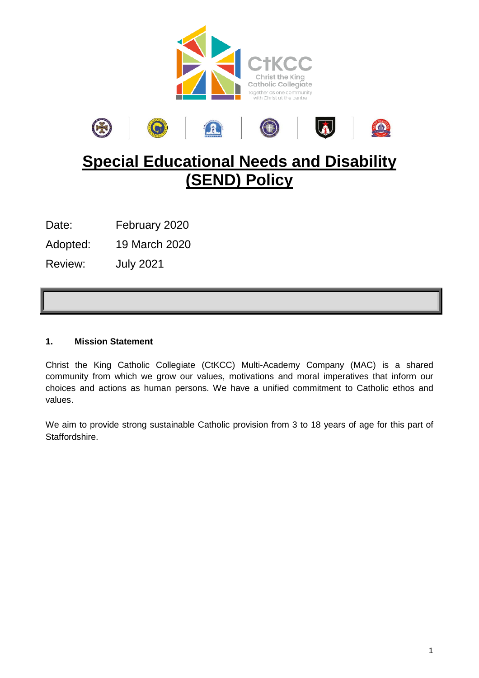



# **Special Educational Needs and Disability (SEND) Policy**

Date: February 2020

Adopted: 19 March 2020

Review: July 2021

# **1. Mission Statement**

Christ the King Catholic Collegiate (CtKCC) Multi-Academy Company (MAC) is a shared community from which we grow our values, motivations and moral imperatives that inform our choices and actions as human persons. We have a unified commitment to Catholic ethos and values.

We aim to provide strong sustainable Catholic provision from 3 to 18 years of age for this part of Staffordshire.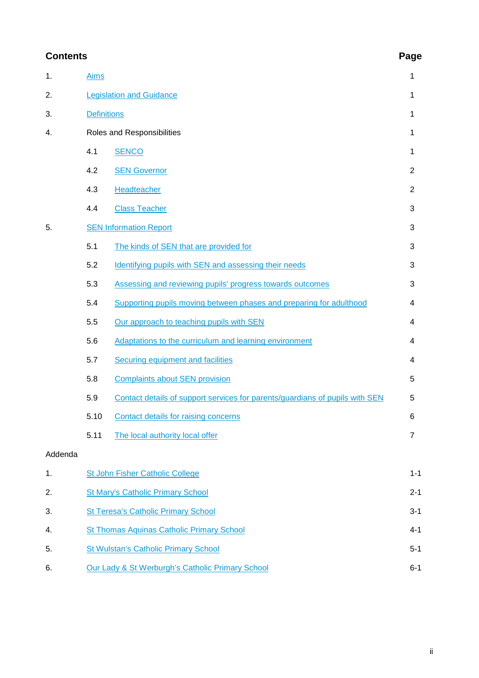# **Contents Page**

| 1.      | <b>Aims</b>                                      |                                                                              | 1              |
|---------|--------------------------------------------------|------------------------------------------------------------------------------|----------------|
| 2.      |                                                  | <b>Legislation and Guidance</b>                                              | 1              |
| 3.      | <b>Definitions</b>                               |                                                                              | 1              |
| 4.      |                                                  | Roles and Responsibilities                                                   | 1              |
|         | 4.1                                              | <b>SENCO</b>                                                                 | 1              |
|         | 4.2                                              | <b>SEN Governor</b>                                                          | $\overline{2}$ |
|         | 4.3                                              | Headteacher                                                                  | $\overline{2}$ |
|         | 4.4                                              | <b>Class Teacher</b>                                                         | 3              |
| 5.      |                                                  | <b>SEN Information Report</b>                                                | 3              |
|         | 5.1                                              | The kinds of SEN that are provided for                                       | 3              |
|         | 5.2                                              | Identifying pupils with SEN and assessing their needs                        | 3              |
|         | 5.3                                              | Assessing and reviewing pupils' progress towards outcomes                    | 3              |
|         | 5.4                                              | Supporting pupils moving between phases and preparing for adulthood          | 4              |
|         | 5.5                                              | Our approach to teaching pupils with SEN                                     | 4              |
|         | 5.6                                              | Adaptations to the curriculum and learning environment                       | 4              |
|         | 5.7                                              | <b>Securing equipment and facilities</b>                                     | 4              |
|         | 5.8                                              | <b>Complaints about SEN provision</b>                                        | 5              |
|         | 5.9                                              | Contact details of support services for parents/guardians of pupils with SEN | 5              |
|         | 5.10                                             | Contact details for raising concerns                                         | 6              |
|         | 5.11                                             | The local authority local offer                                              | 7              |
| Addenda |                                                  |                                                                              |                |
| 1.      |                                                  | St John Fisher Catholic College                                              | $1 - 1$        |
| 2.      |                                                  | <b>St Mary's Catholic Primary School</b>                                     | $2 - 1$        |
| 3.      | <b>St Teresa's Catholic Primary School</b>       |                                                                              | $3 - 1$        |
| 4.      |                                                  | <b>St Thomas Aquinas Catholic Primary School</b>                             | $4 - 1$        |
| 5.      |                                                  | <b>St Wulstan's Catholic Primary School</b>                                  | $5-1$          |
| 6.      | Our Lady & St Werburgh's Catholic Primary School |                                                                              | $6 - 1$        |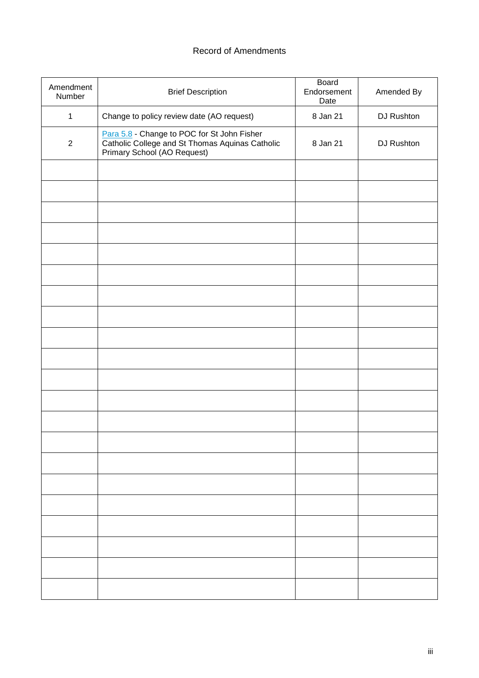# Record of Amendments

| Amendment<br>Number | <b>Brief Description</b>                                                                                                      | Board<br>Endorsement<br>Date | Amended By |
|---------------------|-------------------------------------------------------------------------------------------------------------------------------|------------------------------|------------|
| $\mathbf{1}$        | Change to policy review date (AO request)                                                                                     | 8 Jan 21                     | DJ Rushton |
| $\overline{2}$      | Para 5.8 - Change to POC for St John Fisher<br>Catholic College and St Thomas Aquinas Catholic<br>Primary School (AO Request) | 8 Jan 21                     | DJ Rushton |
|                     |                                                                                                                               |                              |            |
|                     |                                                                                                                               |                              |            |
|                     |                                                                                                                               |                              |            |
|                     |                                                                                                                               |                              |            |
|                     |                                                                                                                               |                              |            |
|                     |                                                                                                                               |                              |            |
|                     |                                                                                                                               |                              |            |
|                     |                                                                                                                               |                              |            |
|                     |                                                                                                                               |                              |            |
|                     |                                                                                                                               |                              |            |
|                     |                                                                                                                               |                              |            |
|                     |                                                                                                                               |                              |            |
|                     |                                                                                                                               |                              |            |
|                     |                                                                                                                               |                              |            |
|                     |                                                                                                                               |                              |            |
|                     |                                                                                                                               |                              |            |
|                     |                                                                                                                               |                              |            |
|                     |                                                                                                                               |                              |            |
|                     |                                                                                                                               |                              |            |
|                     |                                                                                                                               |                              |            |
|                     |                                                                                                                               |                              |            |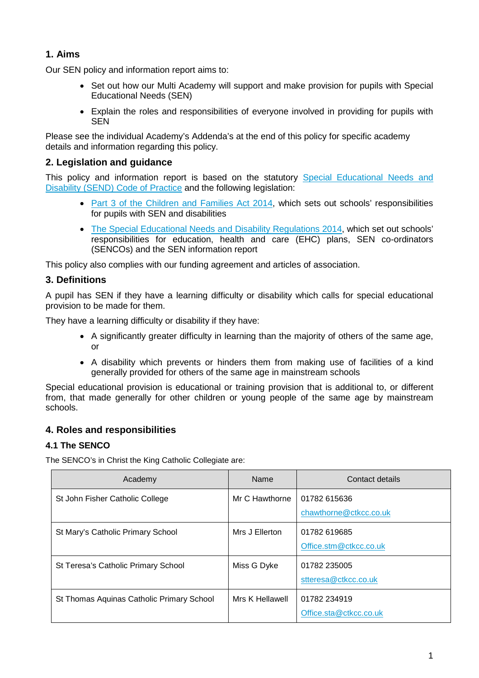# <span id="page-3-0"></span>**1. Aims**

Our SEN policy and information report aims to:

- Set out how our Multi Academy will support and make provision for pupils with Special Educational Needs (SEN)
- Explain the roles and responsibilities of everyone involved in providing for pupils with **SFN**

Please see the individual Academy's Addenda's at the end of this policy for specific academy details and information regarding this policy.

# <span id="page-3-1"></span>**2. Legislation and guidance**

This policy and information report is based on the statutory [Special Educational Needs and](https://www.gov.uk/government/publications/send-code-of-practice-0-to-25)  [Disability \(SEND\) Code of Practice](https://www.gov.uk/government/publications/send-code-of-practice-0-to-25) and the following legislation:

- [Part 3 of the Children and Families Act 2014,](http://www.legislation.gov.uk/ukpga/2014/6/part/3) which sets out schools' responsibilities for pupils with SEN and disabilities
- [The Special Educational Needs and Disability Regulations 2014,](http://www.legislation.gov.uk/uksi/2014/1530/contents/made) which set out schools' responsibilities for education, health and care (EHC) plans, SEN co-ordinators (SENCOs) and the SEN information report

This policy also complies with our funding agreement and articles of association.

# <span id="page-3-2"></span>**3. Definitions**

A pupil has SEN if they have a learning difficulty or disability which calls for special educational provision to be made for them.

They have a learning difficulty or disability if they have:

- A significantly greater difficulty in learning than the majority of others of the same age, or
- A disability which prevents or hinders them from making use of facilities of a kind generally provided for others of the same age in mainstream schools

Special educational provision is educational or training provision that is additional to, or different from, that made generally for other children or young people of the same age by mainstream schools.

# **4. Roles and responsibilities**

#### <span id="page-3-3"></span>**4.1 The SENCO**

The SENCO's in Christ the King Catholic Collegiate are:

| Academy                                   | Name            | Contact details                        |
|-------------------------------------------|-----------------|----------------------------------------|
| St John Fisher Catholic College           | Mr C Hawthorne  | 01782 615636<br>chawthorne@ctkcc.co.uk |
| St Mary's Catholic Primary School         | Mrs J Ellerton  | 01782 619685<br>Office.stm@ctkcc.co.uk |
| St Teresa's Catholic Primary School       | Miss G Dyke     | 01782 235005<br>stteresa@ctkcc.co.uk   |
| St Thomas Aquinas Catholic Primary School | Mrs K Hellawell | 01782 234919<br>Office.sta@ctkcc.co.uk |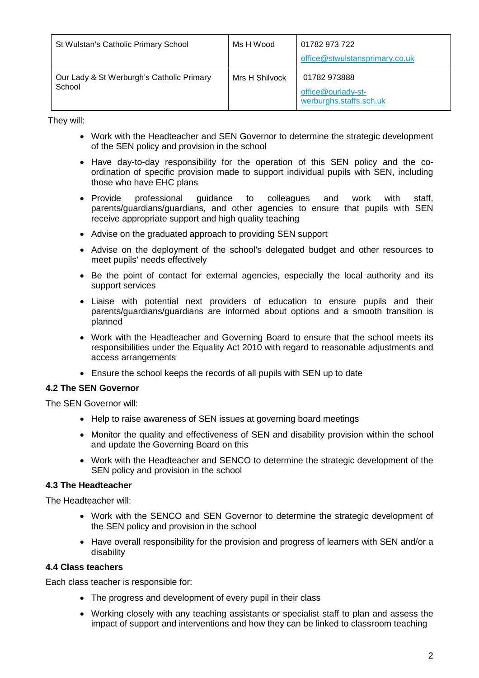| St Wulstan's Catholic Primary School                | Ms H Wood      | 01782 973 722<br>office@stwulstansprimary.co.uk               |
|-----------------------------------------------------|----------------|---------------------------------------------------------------|
| Our Lady & St Werburgh's Catholic Primary<br>School | Mrs H Shilvock | 01782 973888<br>office@ourlady-st-<br>werburghs.staffs.sch.uk |

They will:

- Work with the Headteacher and SEN Governor to determine the strategic development of the SEN policy and provision in the school
- Have day-to-day responsibility for the operation of this SEN policy and the coordination of specific provision made to support individual pupils with SEN, including those who have EHC plans
- Provide professional guidance to colleagues and work with staff, parents/guardians/guardians, and other agencies to ensure that pupils with SEN receive appropriate support and high quality teaching
- Advise on the graduated approach to providing SEN support
- Advise on the deployment of the school's delegated budget and other resources to meet pupils' needs effectively
- Be the point of contact for external agencies, especially the local authority and its support services
- Liaise with potential next providers of education to ensure pupils and their parents/guardians/guardians are informed about options and a smooth transition is planned
- Work with the Headteacher and Governing Board to ensure that the school meets its responsibilities under the Equality Act 2010 with regard to reasonable adjustments and access arrangements
- Ensure the school keeps the records of all pupils with SEN up to date

#### <span id="page-4-0"></span>**4.2 The SEN Governor**

The SEN Governor will:

- Help to raise awareness of SEN issues at governing board meetings
- Monitor the quality and effectiveness of SEN and disability provision within the school and update the Governing Board on this
- Work with the Headteacher and SENCO to determine the strategic development of the SEN policy and provision in the school

#### <span id="page-4-1"></span>**4.3 The Headteacher**

The Headteacher will:

- Work with the SENCO and SEN Governor to determine the strategic development of the SEN policy and provision in the school
- Have overall responsibility for the provision and progress of learners with SEN and/or a disability

#### <span id="page-4-2"></span>**4.4 Class teachers**

Each class teacher is responsible for:

- The progress and development of every pupil in their class
- Working closely with any teaching assistants or specialist staff to plan and assess the impact of support and interventions and how they can be linked to classroom teaching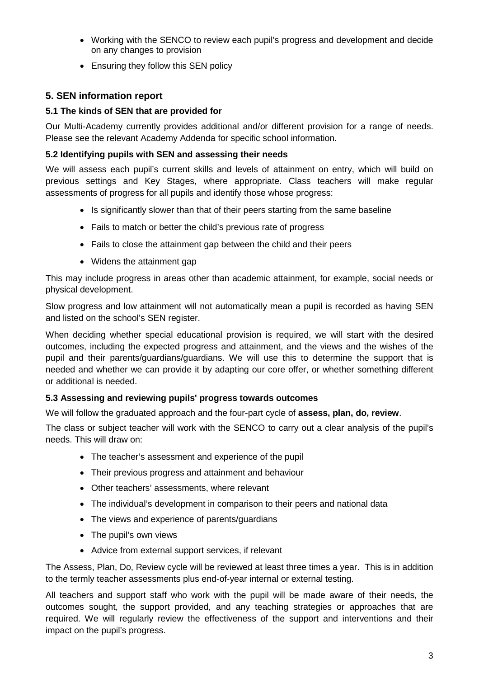- Working with the SENCO to review each pupil's progress and development and decide on any changes to provision
- Ensuring they follow this SEN policy

# <span id="page-5-0"></span>**5. SEN information report**

## <span id="page-5-1"></span>**5.1 The kinds of SEN that are provided for**

Our Multi-Academy currently provides additional and/or different provision for a range of needs. Please see the relevant Academy Addenda for specific school information.

#### <span id="page-5-2"></span>**5.2 Identifying pupils with SEN and assessing their needs**

We will assess each pupil's current skills and levels of attainment on entry, which will build on previous settings and Key Stages, where appropriate. Class teachers will make regular assessments of progress for all pupils and identify those whose progress:

- Is significantly slower than that of their peers starting from the same baseline
- Fails to match or better the child's previous rate of progress
- Fails to close the attainment gap between the child and their peers
- Widens the attainment gap

This may include progress in areas other than academic attainment, for example, social needs or physical development.

Slow progress and low attainment will not automatically mean a pupil is recorded as having SEN and listed on the school's SEN register.

When deciding whether special educational provision is required, we will start with the desired outcomes, including the expected progress and attainment, and the views and the wishes of the pupil and their parents/guardians/guardians. We will use this to determine the support that is needed and whether we can provide it by adapting our core offer, or whether something different or additional is needed.

#### <span id="page-5-3"></span>**5.3 Assessing and reviewing pupils' progress towards outcomes**

We will follow the graduated approach and the four-part cycle of **assess, plan, do, review**.

The class or subject teacher will work with the SENCO to carry out a clear analysis of the pupil's needs. This will draw on:

- The teacher's assessment and experience of the pupil
- Their previous progress and attainment and behaviour
- Other teachers' assessments, where relevant
- The individual's development in comparison to their peers and national data
- The views and experience of parents/guardians
- The pupil's own views
- Advice from external support services, if relevant

The Assess, Plan, Do, Review cycle will be reviewed at least three times a year. This is in addition to the termly teacher assessments plus end-of-year internal or external testing.

All teachers and support staff who work with the pupil will be made aware of their needs, the outcomes sought, the support provided, and any teaching strategies or approaches that are required. We will regularly review the effectiveness of the support and interventions and their impact on the pupil's progress.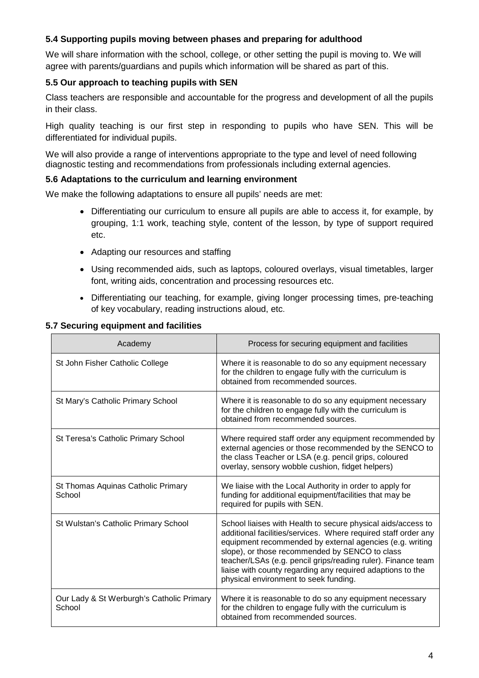## <span id="page-6-0"></span>**5.4 Supporting pupils moving between phases and preparing for adulthood**

We will share information with the school, college, or other setting the pupil is moving to. We will agree with parents/guardians and pupils which information will be shared as part of this.

#### <span id="page-6-1"></span>**5.5 Our approach to teaching pupils with SEN**

Class teachers are responsible and accountable for the progress and development of all the pupils in their class.

High quality teaching is our first step in responding to pupils who have SEN. This will be differentiated for individual pupils.

We will also provide a range of interventions appropriate to the type and level of need following diagnostic testing and recommendations from professionals including external agencies.

#### <span id="page-6-2"></span>**5.6 Adaptations to the curriculum and learning environment**

We make the following adaptations to ensure all pupils' needs are met:

- Differentiating our curriculum to ensure all pupils are able to access it, for example, by grouping, 1:1 work, teaching style, content of the lesson, by type of support required etc.
- Adapting our resources and staffing
- Using recommended aids, such as laptops, coloured overlays, visual timetables, larger font, writing aids, concentration and processing resources etc.
- Differentiating our teaching, for example, giving longer processing times, pre-teaching of key vocabulary, reading instructions aloud, etc.

#### <span id="page-6-3"></span>**5.7 Securing equipment and facilities**

| Academy                                             | Process for securing equipment and facilities                                                                                                                                                                                                                                                                                                                                                                       |
|-----------------------------------------------------|---------------------------------------------------------------------------------------------------------------------------------------------------------------------------------------------------------------------------------------------------------------------------------------------------------------------------------------------------------------------------------------------------------------------|
| St John Fisher Catholic College                     | Where it is reasonable to do so any equipment necessary<br>for the children to engage fully with the curriculum is<br>obtained from recommended sources.                                                                                                                                                                                                                                                            |
| St Mary's Catholic Primary School                   | Where it is reasonable to do so any equipment necessary<br>for the children to engage fully with the curriculum is<br>obtained from recommended sources.                                                                                                                                                                                                                                                            |
| St Teresa's Catholic Primary School                 | Where required staff order any equipment recommended by<br>external agencies or those recommended by the SENCO to<br>the class Teacher or LSA (e.g. pencil grips, coloured<br>overlay, sensory wobble cushion, fidget helpers)                                                                                                                                                                                      |
| St Thomas Aquinas Catholic Primary<br>School        | We liaise with the Local Authority in order to apply for<br>funding for additional equipment/facilities that may be<br>required for pupils with SEN.                                                                                                                                                                                                                                                                |
| St Wulstan's Catholic Primary School                | School liaises with Health to secure physical aids/access to<br>additional facilities/services. Where required staff order any<br>equipment recommended by external agencies (e.g. writing<br>slope), or those recommended by SENCO to class<br>teacher/LSAs (e.g. pencil grips/reading ruler). Finance team<br>liaise with county regarding any required adaptions to the<br>physical environment to seek funding. |
| Our Lady & St Werburgh's Catholic Primary<br>School | Where it is reasonable to do so any equipment necessary<br>for the children to engage fully with the curriculum is<br>obtained from recommended sources.                                                                                                                                                                                                                                                            |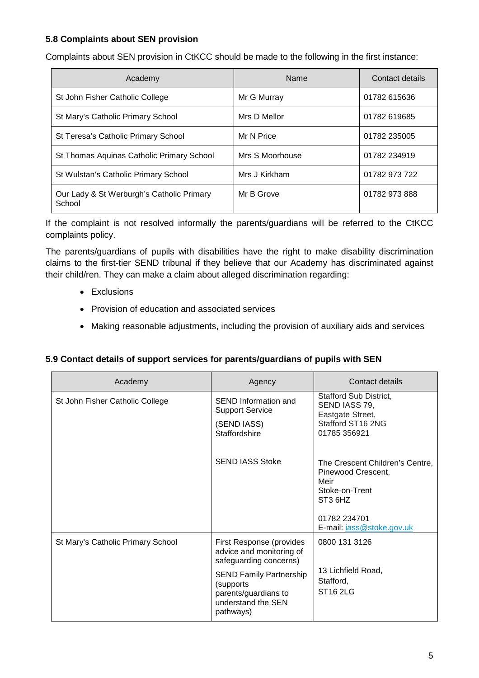# <span id="page-7-2"></span><span id="page-7-0"></span>**5.8 Complaints about SEN provision**

Complaints about SEN provision in CtKCC should be made to the following in the first instance:

| Academy                                             | Name            | Contact details |
|-----------------------------------------------------|-----------------|-----------------|
| St John Fisher Catholic College                     | Mr G Murray     | 01782 615636    |
| St Mary's Catholic Primary School                   | Mrs D Mellor    | 01782 619685    |
| St Teresa's Catholic Primary School                 | Mr N Price      | 01782 235005    |
| St Thomas Aquinas Catholic Primary School           | Mrs S Moorhouse | 01782 234919    |
| St Wulstan's Catholic Primary School                | Mrs J Kirkham   | 01782 973 722   |
| Our Lady & St Werburgh's Catholic Primary<br>School | Mr B Grove      | 01782 973 888   |

If the complaint is not resolved informally the parents/guardians will be referred to the CtKCC complaints policy.

The parents/guardians of pupils with disabilities have the right to make disability discrimination claims to the first-tier SEND tribunal if they believe that our Academy has discriminated against their child/ren. They can make a claim about alleged discrimination regarding:

- Exclusions
- Provision of education and associated services
- Making reasonable adjustments, including the provision of auxiliary aids and services

#### <span id="page-7-1"></span>**5.9 Contact details of support services for parents/guardians of pupils with SEN**

| Academy                           | Agency                                                                                                  | Contact details                                                                                                                                                 |
|-----------------------------------|---------------------------------------------------------------------------------------------------------|-----------------------------------------------------------------------------------------------------------------------------------------------------------------|
| St John Fisher Catholic College   | SEND Information and<br><b>Support Service</b><br>(SEND IASS)<br>Staffordshire                          | Stafford Sub District,<br>SEND IASS 79,<br>Eastgate Street,<br>Stafford ST16 2NG<br>01785 356921                                                                |
|                                   | <b>SEND IASS Stoke</b>                                                                                  | The Crescent Children's Centre,<br>Pinewood Crescent,<br>Meir<br>Stoke-on-Trent<br>ST <sub>3</sub> 6H <sub>Z</sub><br>01782 234701<br>E-mail: iass@stoke.gov.uk |
| St Mary's Catholic Primary School | First Response (provides<br>advice and monitoring of<br>safeguarding concerns)                          | 0800 131 3126                                                                                                                                                   |
|                                   | <b>SEND Family Partnership</b><br>(supports)<br>parents/guardians to<br>understand the SEN<br>pathways) | 13 Lichfield Road,<br>Stafford,<br><b>ST16 2LG</b>                                                                                                              |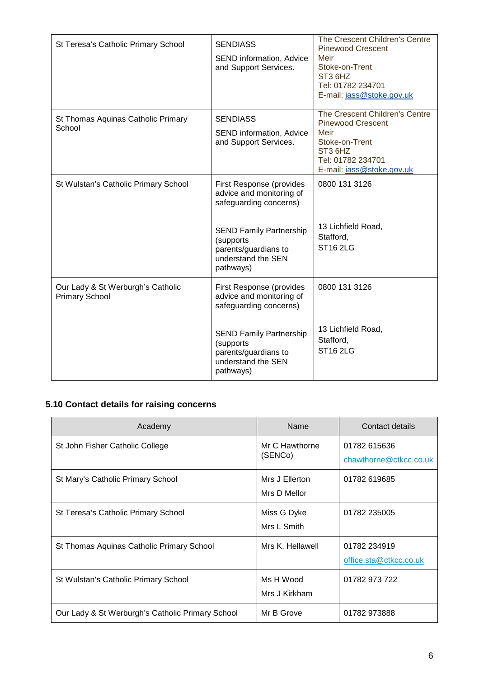| St Teresa's Catholic Primary School                        | <b>SENDIASS</b><br>SEND information, Advice<br>and Support Services.                                                                                                                     | The Crescent Children's Centre<br><b>Pinewood Crescent</b><br>Meir<br>Stoke-on-Trent<br>ST <sub>3</sub> 6H <sub>Z</sub><br>Tel: 01782 234701<br>E-mail: jass@stoke.gov.uk |
|------------------------------------------------------------|------------------------------------------------------------------------------------------------------------------------------------------------------------------------------------------|---------------------------------------------------------------------------------------------------------------------------------------------------------------------------|
| St Thomas Aquinas Catholic Primary<br>School               | <b>SENDIASS</b><br>SEND information, Advice<br>and Support Services.                                                                                                                     | The Crescent Children's Centre<br><b>Pinewood Crescent</b><br>Meir<br>Stoke-on-Trent<br>ST <sub>3</sub> 6H <sub>Z</sub><br>Tel: 01782 234701<br>E-mail: jass@stoke.gov.uk |
| St Wulstan's Catholic Primary School                       | First Response (provides<br>advice and monitoring of<br>safeguarding concerns)<br><b>SEND Family Partnership</b><br>(supports<br>parents/guardians to<br>understand the SEN<br>pathways) | 0800 131 3126<br>13 Lichfield Road,<br>Stafford,<br><b>ST16 2LG</b>                                                                                                       |
| Our Lady & St Werburgh's Catholic<br><b>Primary School</b> | First Response (provides<br>advice and monitoring of<br>safeguarding concerns)<br><b>SEND Family Partnership</b><br>(supports<br>parents/guardians to<br>understand the SEN<br>pathways) | 0800 131 3126<br>13 Lichfield Road,<br>Stafford,<br><b>ST16 2LG</b>                                                                                                       |

# <span id="page-8-0"></span>**5.10 Contact details for raising concerns**

| Academy                                          | Name                           | Contact details                        |
|--------------------------------------------------|--------------------------------|----------------------------------------|
| St John Fisher Catholic College                  | Mr C Hawthorne<br>(SENCo)      | 01782 615636<br>chawthorne@ctkcc.co.uk |
| St Mary's Catholic Primary School                | Mrs J Ellerton<br>Mrs D Mellor | 01782 619685                           |
| St Teresa's Catholic Primary School              | Miss G Dyke<br>Mrs L Smith     | 01782 235005                           |
| St Thomas Aquinas Catholic Primary School        | Mrs K. Hellawell               | 01782 234919<br>office.sta@ctkcc.co.uk |
| St Wulstan's Catholic Primary School             | Ms H Wood<br>Mrs J Kirkham     | 01782 973 722                          |
| Our Lady & St Werburgh's Catholic Primary School | Mr B Grove                     | 01782973888                            |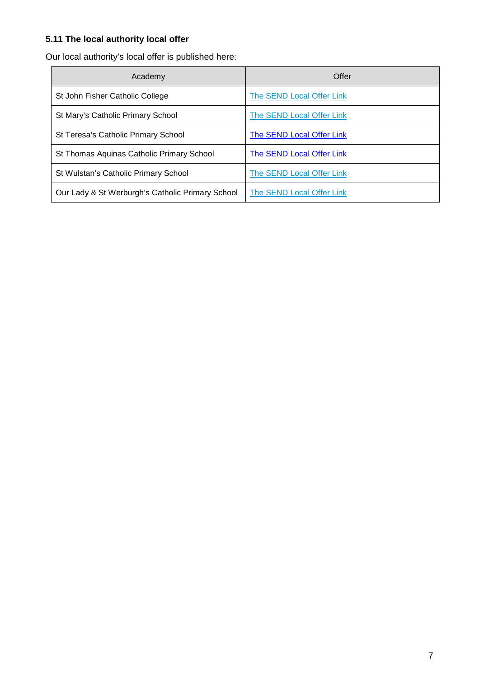# <span id="page-9-0"></span>**5.11 The local authority local offer**

Our local authority's local offer is published here:

| Academy                                          | Offer                     |
|--------------------------------------------------|---------------------------|
| St John Fisher Catholic College                  | The SEND Local Offer Link |
| St Mary's Catholic Primary School                | The SEND Local Offer Link |
| St Teresa's Catholic Primary School              | The SEND Local Offer Link |
| St Thomas Aquinas Catholic Primary School        | The SEND Local Offer Link |
| St Wulstan's Catholic Primary School             | The SEND Local Offer Link |
| Our Lady & St Werburgh's Catholic Primary School | The SEND Local Offer Link |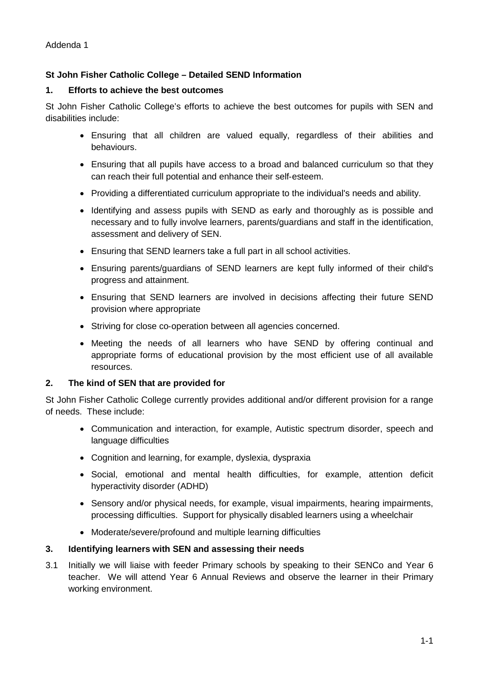# <span id="page-10-0"></span>**St John Fisher Catholic College – Detailed SEND Information**

#### **1. Efforts to achieve the best outcomes**

St John Fisher Catholic College's efforts to achieve the best outcomes for pupils with SEN and disabilities include:

- Ensuring that all children are valued equally, regardless of their abilities and behaviours.
- Ensuring that all pupils have access to a broad and balanced curriculum so that they can reach their full potential and enhance their self‐esteem.
- Providing a differentiated curriculum appropriate to the individual's needs and ability.
- Identifying and assess pupils with SEND as early and thoroughly as is possible and necessary and to fully involve learners, parents/guardians and staff in the identification, assessment and delivery of SEN.
- Ensuring that SEND learners take a full part in all school activities.
- Ensuring parents/guardians of SEND learners are kept fully informed of their child's progress and attainment.
- Ensuring that SEND learners are involved in decisions affecting their future SEND provision where appropriate
- Striving for close co-operation between all agencies concerned.
- Meeting the needs of all learners who have SEND by offering continual and appropriate forms of educational provision by the most efficient use of all available resources.

#### **2. The kind of SEN that are provided for**

St John Fisher Catholic College currently provides additional and/or different provision for a range of needs. These include:

- Communication and interaction, for example, Autistic spectrum disorder, speech and language difficulties
- Cognition and learning, for example, dyslexia, dyspraxia
- Social, emotional and mental health difficulties, for example, attention deficit hyperactivity disorder (ADHD)
- Sensory and/or physical needs, for example, visual impairments, hearing impairments, processing difficulties. Support for physically disabled learners using a wheelchair
- Moderate/severe/profound and multiple learning difficulties

#### **3. Identifying learners with SEN and assessing their needs**

3.1 Initially we will liaise with feeder Primary schools by speaking to their SENCo and Year 6 teacher. We will attend Year 6 Annual Reviews and observe the learner in their Primary working environment.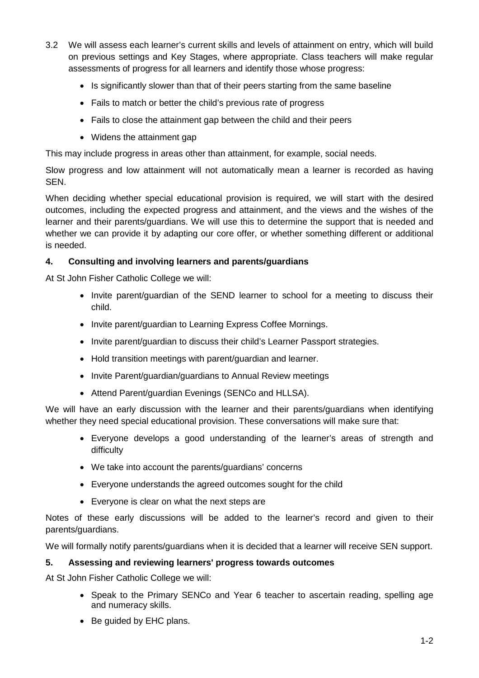- 3.2 We will assess each learner's current skills and levels of attainment on entry, which will build on previous settings and Key Stages, where appropriate. Class teachers will make regular assessments of progress for all learners and identify those whose progress:
	- Is significantly slower than that of their peers starting from the same baseline
	- Fails to match or better the child's previous rate of progress
	- Fails to close the attainment gap between the child and their peers
	- Widens the attainment gap

This may include progress in areas other than attainment, for example, social needs.

Slow progress and low attainment will not automatically mean a learner is recorded as having SEN.

When deciding whether special educational provision is required, we will start with the desired outcomes, including the expected progress and attainment, and the views and the wishes of the learner and their parents/guardians. We will use this to determine the support that is needed and whether we can provide it by adapting our core offer, or whether something different or additional is needed.

#### **4. Consulting and involving learners and parents/guardians**

At St John Fisher Catholic College we will:

- Invite parent/guardian of the SEND learner to school for a meeting to discuss their child.
- Invite parent/guardian to Learning Express Coffee Mornings.
- Invite parent/guardian to discuss their child's Learner Passport strategies.
- Hold transition meetings with parent/guardian and learner.
- Invite Parent/guardian/guardians to Annual Review meetings
- Attend Parent/guardian Evenings (SENCo and HLLSA).

We will have an early discussion with the learner and their parents/guardians when identifying whether they need special educational provision. These conversations will make sure that:

- Everyone develops a good understanding of the learner's areas of strength and difficulty
- We take into account the parents/guardians' concerns
- Everyone understands the agreed outcomes sought for the child
- Everyone is clear on what the next steps are

Notes of these early discussions will be added to the learner's record and given to their parents/guardians.

We will formally notify parents/guardians when it is decided that a learner will receive SEN support.

#### **5. Assessing and reviewing learners' progress towards outcomes**

At St John Fisher Catholic College we will:

- Speak to the Primary SENCo and Year 6 teacher to ascertain reading, spelling age and numeracy skills.
- Be guided by EHC plans.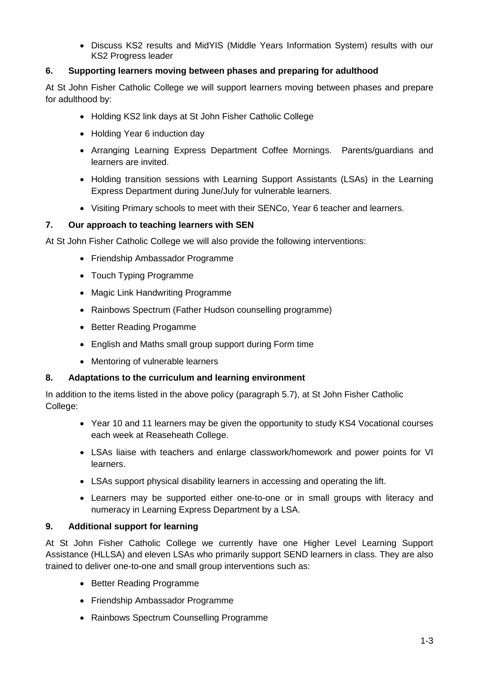• Discuss KS2 results and MidYIS (Middle Years Information System) results with our KS2 Progress leader

# **6. Supporting learners moving between phases and preparing for adulthood**

At St John Fisher Catholic College we will support learners moving between phases and prepare for adulthood by:

- Holding KS2 link days at St John Fisher Catholic College
- Holding Year 6 induction day
- Arranging Learning Express Department Coffee Mornings. Parents/guardians and learners are invited.
- Holding transition sessions with Learning Support Assistants (LSAs) in the Learning Express Department during June/July for vulnerable learners.
- Visiting Primary schools to meet with their SENCo, Year 6 teacher and learners.

# **7. Our approach to teaching learners with SEN**

At St John Fisher Catholic College we will also provide the following interventions:

- Friendship Ambassador Programme
- Touch Typing Programme
- Magic Link Handwriting Programme
- Rainbows Spectrum (Father Hudson counselling programme)
- Better Reading Progamme
- English and Maths small group support during Form time
- Mentoring of vulnerable learners

#### **8. Adaptations to the curriculum and learning environment**

In addition to the items listed in the above policy (paragraph 5.7), at St John Fisher Catholic College:

- Year 10 and 11 learners may be given the opportunity to study KS4 Vocational courses each week at Reaseheath College.
- LSAs liaise with teachers and enlarge classwork/homework and power points for VI learners.
- LSAs support physical disability learners in accessing and operating the lift.
- Learners may be supported either one-to-one or in small groups with literacy and numeracy in Learning Express Department by a LSA.

#### **9. Additional support for learning**

At St John Fisher Catholic College we currently have one Higher Level Learning Support Assistance (HLLSA) and eleven LSAs who primarily support SEND learners in class. They are also trained to deliver one-to-one and small group interventions such as:

- Better Reading Programme
- Friendship Ambassador Programme
- Rainbows Spectrum Counselling Programme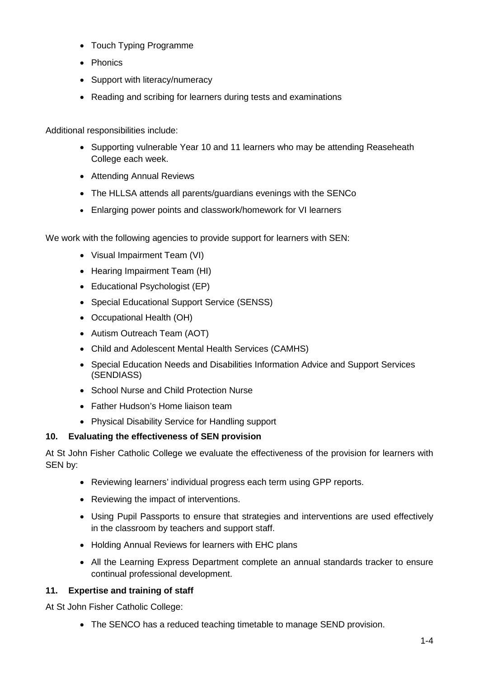- Touch Typing Programme
- Phonics
- Support with literacy/numeracy
- Reading and scribing for learners during tests and examinations

Additional responsibilities include:

- Supporting vulnerable Year 10 and 11 learners who may be attending Reaseheath College each week.
- Attending Annual Reviews
- The HLLSA attends all parents/guardians evenings with the SENCo
- Enlarging power points and classwork/homework for VI learners

We work with the following agencies to provide support for learners with SEN:

- Visual Impairment Team (VI)
- Hearing Impairment Team (HI)
- Educational Psychologist (EP)
- Special Educational Support Service (SENSS)
- Occupational Health (OH)
- Autism Outreach Team (AOT)
- Child and Adolescent Mental Health Services (CAMHS)
- Special Education Needs and Disabilities Information Advice and Support Services (SENDIASS)
- School Nurse and Child Protection Nurse
- Father Hudson's Home liaison team
- Physical Disability Service for Handling support

# **10. Evaluating the effectiveness of SEN provision**

At St John Fisher Catholic College we evaluate the effectiveness of the provision for learners with SEN by:

- Reviewing learners' individual progress each term using GPP reports.
- Reviewing the impact of interventions.
- Using Pupil Passports to ensure that strategies and interventions are used effectively in the classroom by teachers and support staff.
- Holding Annual Reviews for learners with EHC plans
- All the Learning Express Department complete an annual standards tracker to ensure continual professional development.

# **11. Expertise and training of staff**

At St John Fisher Catholic College:

• The SENCO has a reduced teaching timetable to manage SEND provision.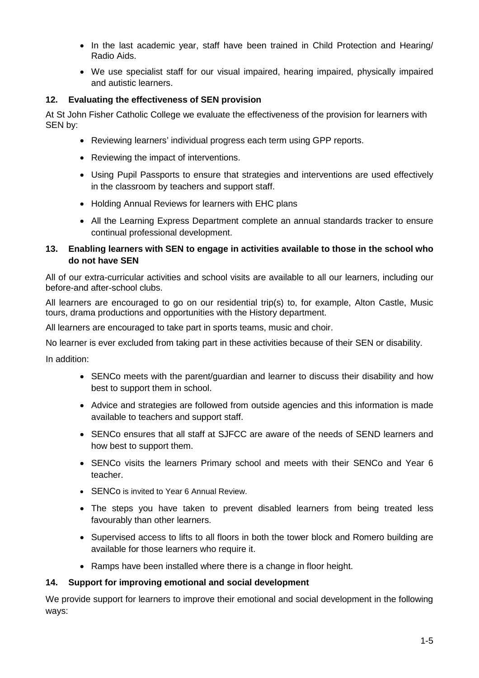- In the last academic year, staff have been trained in Child Protection and Hearing/ Radio Aids.
- We use specialist staff for our visual impaired, hearing impaired, physically impaired and autistic learners.

## **12. Evaluating the effectiveness of SEN provision**

At St John Fisher Catholic College we evaluate the effectiveness of the provision for learners with SEN by:

- Reviewing learners' individual progress each term using GPP reports.
- Reviewing the impact of interventions.
- Using Pupil Passports to ensure that strategies and interventions are used effectively in the classroom by teachers and support staff.
- Holding Annual Reviews for learners with EHC plans
- All the Learning Express Department complete an annual standards tracker to ensure continual professional development.

## **13. Enabling learners with SEN to engage in activities available to those in the school who do not have SEN**

All of our extra-curricular activities and school visits are available to all our learners, including our before-and after-school clubs.

All learners are encouraged to go on our residential trip(s) to, for example, Alton Castle, Music tours, drama productions and opportunities with the History department.

All learners are encouraged to take part in sports teams, music and choir.

No learner is ever excluded from taking part in these activities because of their SEN or disability.

In addition:

- SENCo meets with the parent/guardian and learner to discuss their disability and how best to support them in school.
- Advice and strategies are followed from outside agencies and this information is made available to teachers and support staff.
- SENCo ensures that all staff at SJFCC are aware of the needs of SEND learners and how best to support them.
- SENCo visits the learners Primary school and meets with their SENCo and Year 6 teacher.
- **SENCo** is invited to Year 6 Annual Review.
- The steps you have taken to prevent disabled learners from being treated less favourably than other learners.
- Supervised access to lifts to all floors in both the tower block and Romero building are available for those learners who require it.
- Ramps have been installed where there is a change in floor height.

#### **14. Support for improving emotional and social development**

We provide support for learners to improve their emotional and social development in the following ways: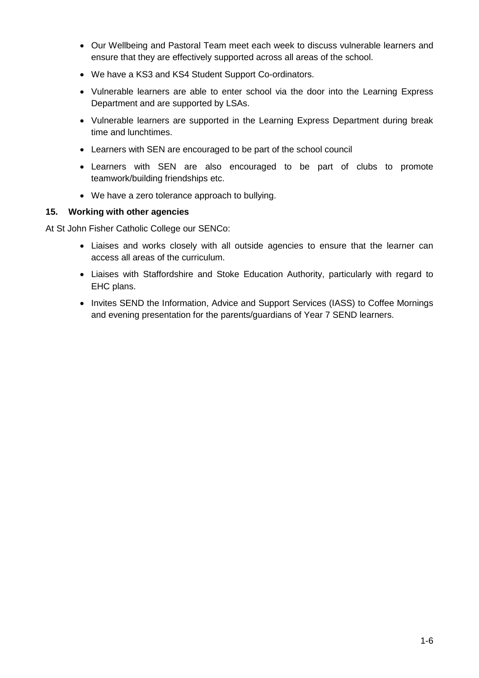- Our Wellbeing and Pastoral Team meet each week to discuss vulnerable learners and ensure that they are effectively supported across all areas of the school.
- We have a KS3 and KS4 Student Support Co-ordinators.
- Vulnerable learners are able to enter school via the door into the Learning Express Department and are supported by LSAs.
- Vulnerable learners are supported in the Learning Express Department during break time and lunchtimes.
- Learners with SEN are encouraged to be part of the school council
- Learners with SEN are also encouraged to be part of clubs to promote teamwork/building friendships etc.
- We have a zero tolerance approach to bullying.

#### **15. Working with other agencies**

At St John Fisher Catholic College our SENCo:

- Liaises and works closely with all outside agencies to ensure that the learner can access all areas of the curriculum.
- Liaises with Staffordshire and Stoke Education Authority, particularly with regard to EHC plans.
- Invites SEND the Information, Advice and Support Services (IASS) to Coffee Mornings and evening presentation for the parents/guardians of Year 7 SEND learners.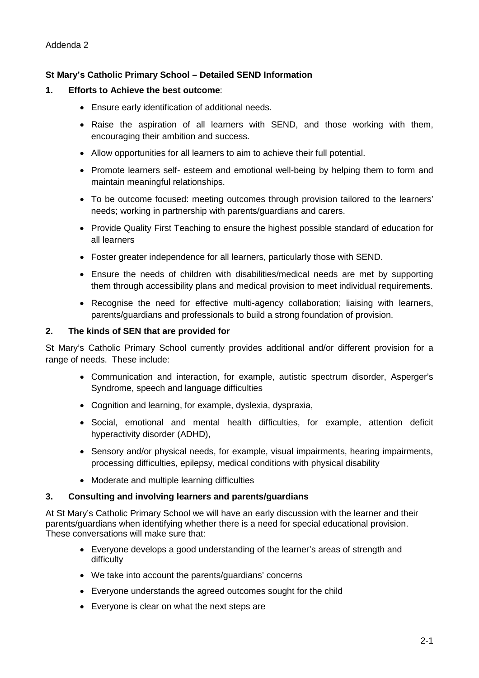#### <span id="page-16-0"></span>**St Mary's Catholic Primary School – Detailed SEND Information**

#### **1. Efforts to Achieve the best outcome**:

- Ensure early identification of additional needs.
- Raise the aspiration of all learners with SEND, and those working with them, encouraging their ambition and success.
- Allow opportunities for all learners to aim to achieve their full potential.
- Promote learners self- esteem and emotional well-being by helping them to form and maintain meaningful relationships.
- To be outcome focused: meeting outcomes through provision tailored to the learners' needs; working in partnership with parents/guardians and carers.
- Provide Quality First Teaching to ensure the highest possible standard of education for all learners
- Foster greater independence for all learners, particularly those with SEND.
- Ensure the needs of children with disabilities/medical needs are met by supporting them through accessibility plans and medical provision to meet individual requirements.
- Recognise the need for effective multi-agency collaboration; liaising with learners, parents/guardians and professionals to build a strong foundation of provision.

#### **2. The kinds of SEN that are provided for**

St Mary's Catholic Primary School currently provides additional and/or different provision for a range of needs. These include:

- Communication and interaction, for example, autistic spectrum disorder, Asperger's Syndrome, speech and language difficulties
- Cognition and learning, for example, dyslexia, dyspraxia,
- Social, emotional and mental health difficulties, for example, attention deficit hyperactivity disorder (ADHD),
- Sensory and/or physical needs, for example, visual impairments, hearing impairments, processing difficulties, epilepsy, medical conditions with physical disability
- Moderate and multiple learning difficulties

#### **3. Consulting and involving learners and parents/guardians**

At St Mary's Catholic Primary School we will have an early discussion with the learner and their parents/guardians when identifying whether there is a need for special educational provision. These conversations will make sure that:

- Everyone develops a good understanding of the learner's areas of strength and difficulty
- We take into account the parents/guardians' concerns
- Everyone understands the agreed outcomes sought for the child
- Everyone is clear on what the next steps are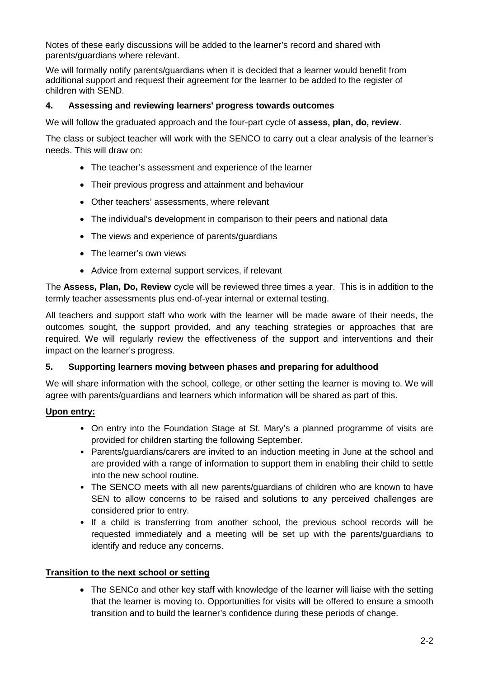Notes of these early discussions will be added to the learner's record and shared with parents/guardians where relevant.

We will formally notify parents/guardians when it is decided that a learner would benefit from additional support and request their agreement for the learner to be added to the register of children with SEND.

#### **4. Assessing and reviewing learners' progress towards outcomes**

We will follow the graduated approach and the four-part cycle of **assess, plan, do, review**.

The class or subject teacher will work with the SENCO to carry out a clear analysis of the learner's needs. This will draw on:

- The teacher's assessment and experience of the learner
- Their previous progress and attainment and behaviour
- Other teachers' assessments, where relevant
- The individual's development in comparison to their peers and national data
- The views and experience of parents/guardians
- The learner's own views
- Advice from external support services, if relevant

The **Assess, Plan, Do, Review** cycle will be reviewed three times a year. This is in addition to the termly teacher assessments plus end-of-year internal or external testing.

All teachers and support staff who work with the learner will be made aware of their needs, the outcomes sought, the support provided, and any teaching strategies or approaches that are required. We will regularly review the effectiveness of the support and interventions and their impact on the learner's progress.

#### **5. Supporting learners moving between phases and preparing for adulthood**

We will share information with the school, college, or other setting the learner is moving to. We will agree with parents/guardians and learners which information will be shared as part of this.

#### **Upon entry:**

- On entry into the Foundation Stage at St. Mary's a planned programme of visits are provided for children starting the following September.
- Parents/guardians/carers are invited to an induction meeting in June at the school and are provided with a range of information to support them in enabling their child to settle into the new school routine.
- The SENCO meets with all new parents/guardians of children who are known to have SEN to allow concerns to be raised and solutions to any perceived challenges are considered prior to entry.
- If a child is transferring from another school, the previous school records will be requested immediately and a meeting will be set up with the parents/guardians to identify and reduce any concerns.

#### **Transition to the next school or setting**

• The SENCo and other key staff with knowledge of the learner will liaise with the setting that the learner is moving to. Opportunities for visits will be offered to ensure a smooth transition and to build the learner's confidence during these periods of change.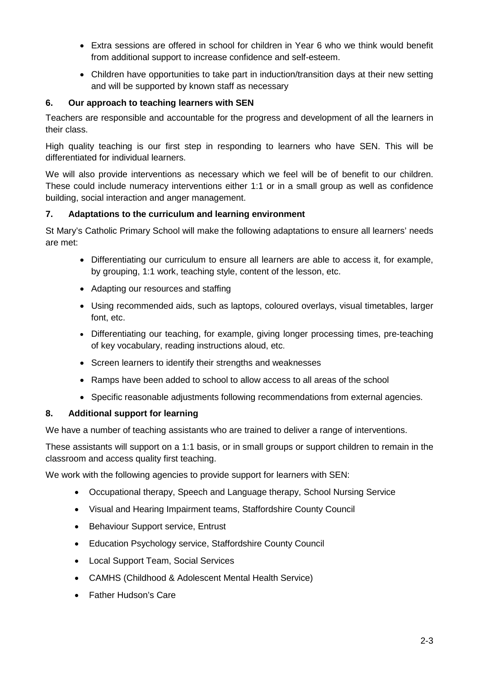- Extra sessions are offered in school for children in Year 6 who we think would benefit from additional support to increase confidence and self-esteem.
- Children have opportunities to take part in induction/transition days at their new setting and will be supported by known staff as necessary

# **6. Our approach to teaching learners with SEN**

Teachers are responsible and accountable for the progress and development of all the learners in their class.

High quality teaching is our first step in responding to learners who have SEN. This will be differentiated for individual learners.

We will also provide interventions as necessary which we feel will be of benefit to our children. These could include numeracy interventions either 1:1 or in a small group as well as confidence building, social interaction and anger management.

#### **7. Adaptations to the curriculum and learning environment**

St Mary's Catholic Primary School will make the following adaptations to ensure all learners' needs are met:

- Differentiating our curriculum to ensure all learners are able to access it, for example, by grouping, 1:1 work, teaching style, content of the lesson, etc.
- Adapting our resources and staffing
- Using recommended aids, such as laptops, coloured overlays, visual timetables, larger font, etc.
- Differentiating our teaching, for example, giving longer processing times, pre-teaching of key vocabulary, reading instructions aloud, etc.
- Screen learners to identify their strengths and weaknesses
- Ramps have been added to school to allow access to all areas of the school
- Specific reasonable adjustments following recommendations from external agencies.

#### **8. Additional support for learning**

We have a number of teaching assistants who are trained to deliver a range of interventions.

These assistants will support on a 1:1 basis, or in small groups or support children to remain in the classroom and access quality first teaching.

We work with the following agencies to provide support for learners with SEN:

- Occupational therapy, Speech and Language therapy, School Nursing Service
- Visual and Hearing Impairment teams, Staffordshire County Council
- Behaviour Support service, Entrust
- Education Psychology service, Staffordshire County Council
- Local Support Team, Social Services
- CAMHS (Childhood & Adolescent Mental Health Service)
- Father Hudson's Care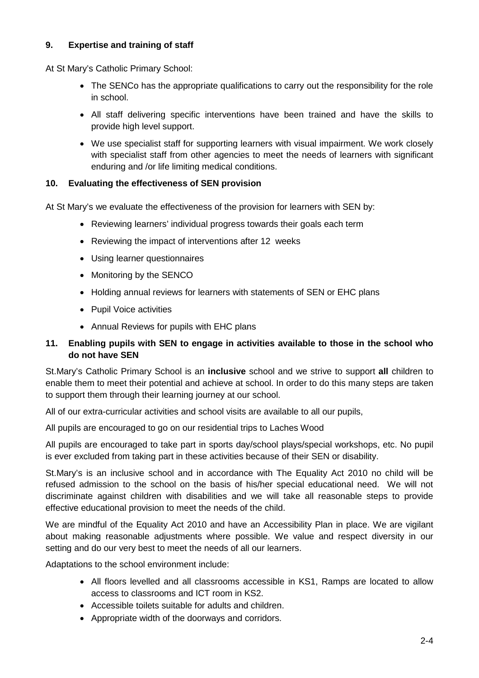# **9. Expertise and training of staff**

At St Mary's Catholic Primary School:

- The SENCo has the appropriate qualifications to carry out the responsibility for the role in school.
- All staff delivering specific interventions have been trained and have the skills to provide high level support.
- We use specialist staff for supporting learners with visual impairment. We work closely with specialist staff from other agencies to meet the needs of learners with significant enduring and /or life limiting medical conditions.

#### **10. Evaluating the effectiveness of SEN provision**

At St Mary's we evaluate the effectiveness of the provision for learners with SEN by:

- Reviewing learners' individual progress towards their goals each term
- Reviewing the impact of interventions after 12 weeks
- Using learner questionnaires
- Monitoring by the SENCO
- Holding annual reviews for learners with statements of SEN or EHC plans
- Pupil Voice activities
- Annual Reviews for pupils with EHC plans

#### **11. Enabling pupils with SEN to engage in activities available to those in the school who do not have SEN**

St.Mary's Catholic Primary School is an **inclusive** school and we strive to support **all** children to enable them to meet their potential and achieve at school. In order to do this many steps are taken to support them through their learning journey at our school.

All of our extra-curricular activities and school visits are available to all our pupils,

All pupils are encouraged to go on our residential trips to Laches Wood

All pupils are encouraged to take part in sports day/school plays/special workshops, etc. No pupil is ever excluded from taking part in these activities because of their SEN or disability.

St.Mary's is an inclusive school and in accordance with The Equality Act 2010 no child will be refused admission to the school on the basis of his/her special educational need. We will not discriminate against children with disabilities and we will take all reasonable steps to provide effective educational provision to meet the needs of the child.

We are mindful of the Equality Act 2010 and have an Accessibility Plan in place. We are vigilant about making reasonable adjustments where possible. We value and respect diversity in our setting and do our very best to meet the needs of all our learners.

Adaptations to the school environment include:

- All floors levelled and all classrooms accessible in KS1, Ramps are located to allow access to classrooms and ICT room in KS2.
- Accessible toilets suitable for adults and children.
- Appropriate width of the doorways and corridors.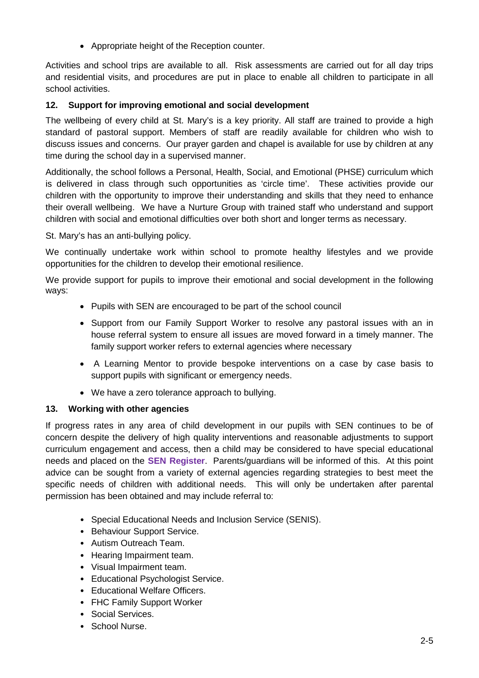• Appropriate height of the Reception counter.

Activities and school trips are available to all. Risk assessments are carried out for all day trips and residential visits, and procedures are put in place to enable all children to participate in all school activities.

# **12. Support for improving emotional and social development**

The wellbeing of every child at St. Mary's is a key priority. All staff are trained to provide a high standard of pastoral support. Members of staff are readily available for children who wish to discuss issues and concerns. Our prayer garden and chapel is available for use by children at any time during the school day in a supervised manner.

Additionally, the school follows a Personal, Health, Social, and Emotional (PHSE) curriculum which is delivered in class through such opportunities as 'circle time'. These activities provide our children with the opportunity to improve their understanding and skills that they need to enhance their overall wellbeing. We have a Nurture Group with trained staff who understand and support children with social and emotional difficulties over both short and longer terms as necessary.

St. Mary's has an anti-bullying policy.

We continually undertake work within school to promote healthy lifestyles and we provide opportunities for the children to develop their emotional resilience.

We provide support for pupils to improve their emotional and social development in the following ways:

- Pupils with SEN are encouraged to be part of the school council
- Support from our Family Support Worker to resolve any pastoral issues with an in house referral system to ensure all issues are moved forward in a timely manner. The family support worker refers to external agencies where necessary
- A Learning Mentor to provide bespoke interventions on a case by case basis to support pupils with significant or emergency needs.
- We have a zero tolerance approach to bullying.

#### **13. Working with other agencies**

If progress rates in any area of child development in our pupils with SEN continues to be of concern despite the delivery of high quality interventions and reasonable adjustments to support curriculum engagement and access, then a child may be considered to have special educational needs and placed on the **SEN Register**. Parents/guardians will be informed of this. At this point advice can be sought from a variety of external agencies regarding strategies to best meet the specific needs of children with additional needs. This will only be undertaken after parental permission has been obtained and may include referral to:

- Special Educational Needs and Inclusion Service (SENIS).
- Behaviour Support Service.
- Autism Outreach Team.
- Hearing Impairment team.
- Visual Impairment team.
- Educational Psychologist Service.
- Educational Welfare Officers.
- FHC Family Support Worker
- Social Services.
- School Nurse.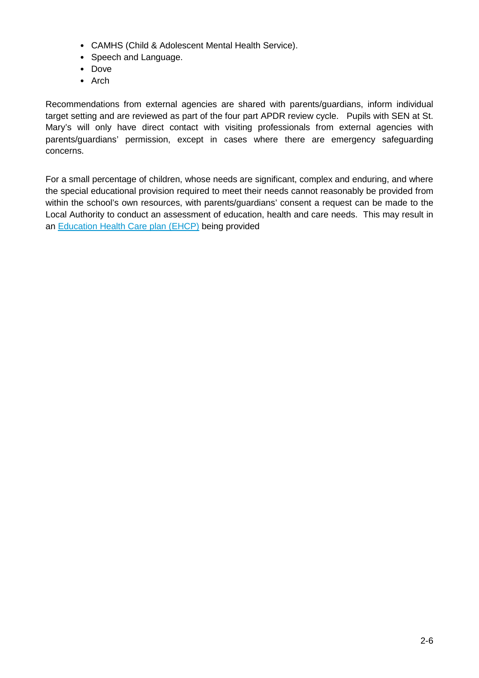- CAMHS (Child & Adolescent Mental Health Service).
- Speech and Language.
- Dove
- Arch

Recommendations from external agencies are shared with parents/guardians, inform individual target setting and are reviewed as part of the four part APDR review cycle. Pupils with SEN at St. Mary's will only have direct contact with visiting professionals from external agencies with parents/guardians' permission, except in cases where there are emergency safeguarding concerns.

For a small percentage of children, whose needs are significant, complex and enduring, and where the special educational provision required to meet their needs cannot reasonably be provided from within the school's own resources, with parents/guardians' consent a request can be made to the Local Authority to conduct an assessment of education, health and care needs. This may result in an [Education Health Care plan \(EHCP\)](https://www.staffordshireconnects.info/kb5/staffordshire/directory/site.page?id=aYb6AfFVT1s) being provided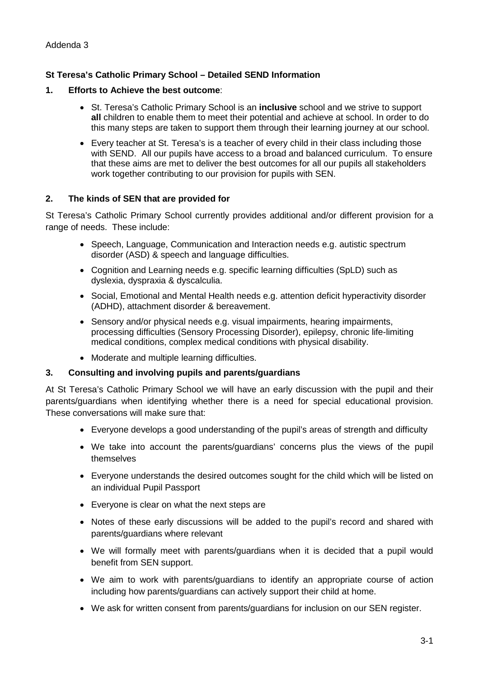### <span id="page-22-0"></span>**St Teresa's Catholic Primary School – Detailed SEND Information**

#### **1. Efforts to Achieve the best outcome**:

- St. Teresa's Catholic Primary School is an **inclusive** school and we strive to support **all** children to enable them to meet their potential and achieve at school. In order to do this many steps are taken to support them through their learning journey at our school.
- Every teacher at St. Teresa's is a teacher of every child in their class including those with SEND. All our pupils have access to a broad and balanced curriculum. To ensure that these aims are met to deliver the best outcomes for all our pupils all stakeholders work together contributing to our provision for pupils with SEN.

#### **2. The kinds of SEN that are provided for**

St Teresa's Catholic Primary School currently provides additional and/or different provision for a range of needs. These include:

- Speech, Language, Communication and Interaction needs e.g. autistic spectrum disorder (ASD) & speech and language difficulties.
- Cognition and Learning needs e.g. specific learning difficulties (SpLD) such as dyslexia, dyspraxia & dyscalculia.
- Social, Emotional and Mental Health needs e.g. attention deficit hyperactivity disorder (ADHD), attachment disorder & bereavement.
- Sensory and/or physical needs e.g. visual impairments, hearing impairments, processing difficulties (Sensory Processing Disorder), epilepsy, chronic life-limiting medical conditions, complex medical conditions with physical disability.
- Moderate and multiple learning difficulties.

#### **3. Consulting and involving pupils and parents/guardians**

At St Teresa's Catholic Primary School we will have an early discussion with the pupil and their parents/guardians when identifying whether there is a need for special educational provision. These conversations will make sure that:

- Everyone develops a good understanding of the pupil's areas of strength and difficulty
- We take into account the parents/guardians' concerns plus the views of the pupil themselves
- Everyone understands the desired outcomes sought for the child which will be listed on an individual Pupil Passport
- Everyone is clear on what the next steps are
- Notes of these early discussions will be added to the pupil's record and shared with parents/guardians where relevant
- We will formally meet with parents/guardians when it is decided that a pupil would benefit from SEN support.
- We aim to work with parents/guardians to identify an appropriate course of action including how parents/guardians can actively support their child at home.
- We ask for written consent from parents/guardians for inclusion on our SEN register.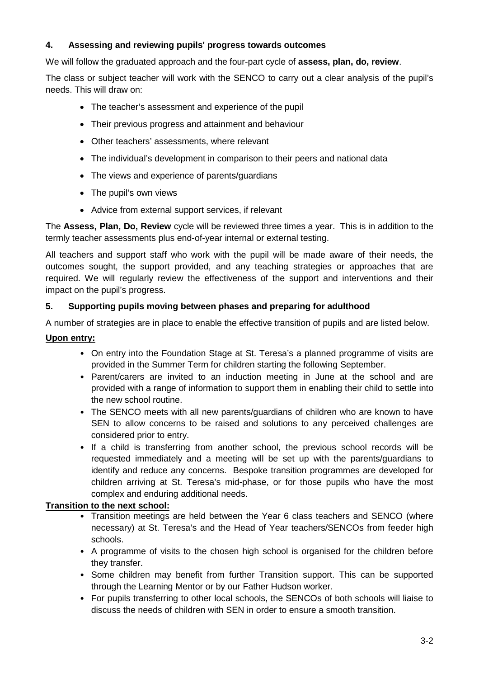# **4. Assessing and reviewing pupils' progress towards outcomes**

We will follow the graduated approach and the four-part cycle of **assess, plan, do, review**.

The class or subject teacher will work with the SENCO to carry out a clear analysis of the pupil's needs. This will draw on:

- The teacher's assessment and experience of the pupil
- Their previous progress and attainment and behaviour
- Other teachers' assessments, where relevant
- The individual's development in comparison to their peers and national data
- The views and experience of parents/guardians
- The pupil's own views
- Advice from external support services, if relevant

The **Assess, Plan, Do, Review** cycle will be reviewed three times a year. This is in addition to the termly teacher assessments plus end-of-year internal or external testing.

All teachers and support staff who work with the pupil will be made aware of their needs, the outcomes sought, the support provided, and any teaching strategies or approaches that are required. We will regularly review the effectiveness of the support and interventions and their impact on the pupil's progress.

# **5. Supporting pupils moving between phases and preparing for adulthood**

A number of strategies are in place to enable the effective transition of pupils and are listed below.

#### **Upon entry:**

- On entry into the Foundation Stage at St. Teresa's a planned programme of visits are provided in the Summer Term for children starting the following September.
- Parent/carers are invited to an induction meeting in June at the school and are provided with a range of information to support them in enabling their child to settle into the new school routine.
- The SENCO meets with all new parents/guardians of children who are known to have SEN to allow concerns to be raised and solutions to any perceived challenges are considered prior to entry.
- If a child is transferring from another school, the previous school records will be requested immediately and a meeting will be set up with the parents/guardians to identify and reduce any concerns. Bespoke transition programmes are developed for children arriving at St. Teresa's mid-phase, or for those pupils who have the most complex and enduring additional needs.

#### **Transition to the next school:**

- Transition meetings are held between the Year 6 class teachers and SENCO (where necessary) at St. Teresa's and the Head of Year teachers/SENCOs from feeder high schools.
- A programme of visits to the chosen high school is organised for the children before they transfer.
- Some children may benefit from further Transition support. This can be supported through the Learning Mentor or by our Father Hudson worker.
- For pupils transferring to other local schools, the SENCOs of both schools will liaise to discuss the needs of children with SEN in order to ensure a smooth transition.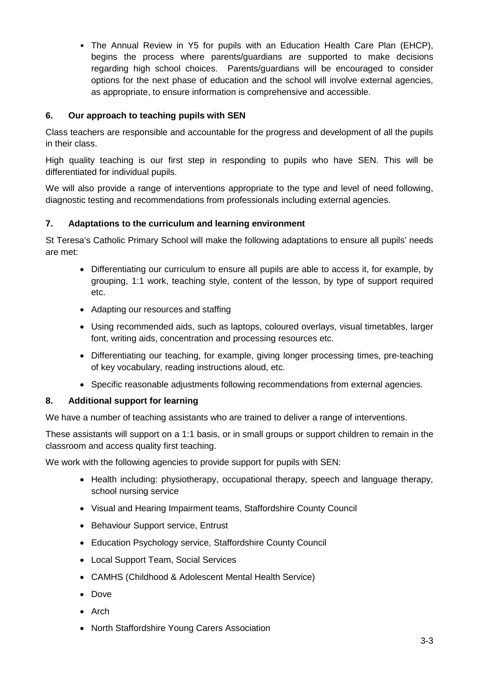• The Annual Review in Y5 for pupils with an Education Health Care Plan (EHCP), begins the process where parents/guardians are supported to make decisions regarding high school choices. Parents/guardians will be encouraged to consider options for the next phase of education and the school will involve external agencies, as appropriate, to ensure information is comprehensive and accessible.

# **6. Our approach to teaching pupils with SEN**

Class teachers are responsible and accountable for the progress and development of all the pupils in their class.

High quality teaching is our first step in responding to pupils who have SEN. This will be differentiated for individual pupils.

We will also provide a range of interventions appropriate to the type and level of need following, diagnostic testing and recommendations from professionals including external agencies.

#### **7. Adaptations to the curriculum and learning environment**

St Teresa's Catholic Primary School will make the following adaptations to ensure all pupils' needs are met:

- Differentiating our curriculum to ensure all pupils are able to access it, for example, by grouping, 1:1 work, teaching style, content of the lesson, by type of support required etc.
- Adapting our resources and staffing
- Using recommended aids, such as laptops, coloured overlays, visual timetables, larger font, writing aids, concentration and processing resources etc.
- Differentiating our teaching, for example, giving longer processing times, pre-teaching of key vocabulary, reading instructions aloud, etc.
- Specific reasonable adjustments following recommendations from external agencies.

# **8. Additional support for learning**

We have a number of teaching assistants who are trained to deliver a range of interventions.

These assistants will support on a 1:1 basis, or in small groups or support children to remain in the classroom and access quality first teaching.

We work with the following agencies to provide support for pupils with SEN:

- Health including: physiotherapy, occupational therapy, speech and language therapy, school nursing service
- Visual and Hearing Impairment teams, Staffordshire County Council
- Behaviour Support service, Entrust
- Education Psychology service, Staffordshire County Council
- Local Support Team, Social Services
- CAMHS (Childhood & Adolescent Mental Health Service)
- Dove
- Arch
- North Staffordshire Young Carers Association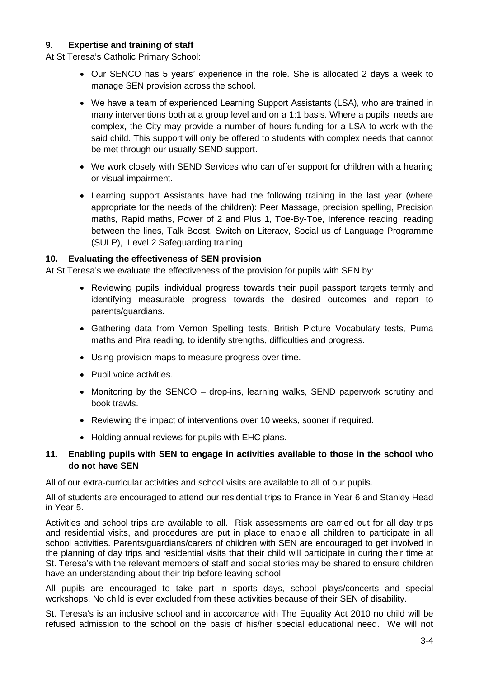#### **9. Expertise and training of staff**

At St Teresa's Catholic Primary School:

- Our SENCO has 5 years' experience in the role. She is allocated 2 days a week to manage SEN provision across the school.
- We have a team of experienced Learning Support Assistants (LSA), who are trained in many interventions both at a group level and on a 1:1 basis. Where a pupils' needs are complex, the City may provide a number of hours funding for a LSA to work with the said child. This support will only be offered to students with complex needs that cannot be met through our usually SEND support.
- We work closely with SEND Services who can offer support for children with a hearing or visual impairment.
- Learning support Assistants have had the following training in the last year (where appropriate for the needs of the children): Peer Massage, precision spelling, Precision maths, Rapid maths, Power of 2 and Plus 1, Toe-By-Toe, Inference reading, reading between the lines, Talk Boost, Switch on Literacy, Social us of Language Programme (SULP), Level 2 Safeguarding training.

#### **10. Evaluating the effectiveness of SEN provision**

At St Teresa's we evaluate the effectiveness of the provision for pupils with SEN by:

- Reviewing pupils' individual progress towards their pupil passport targets termly and identifying measurable progress towards the desired outcomes and report to parents/guardians.
- Gathering data from Vernon Spelling tests, British Picture Vocabulary tests, Puma maths and Pira reading, to identify strengths, difficulties and progress.
- Using provision maps to measure progress over time.
- Pupil voice activities.
- Monitoring by the SENCO drop-ins, learning walks, SEND paperwork scrutiny and book trawls.
- Reviewing the impact of interventions over 10 weeks, sooner if required.
- Holding annual reviews for pupils with EHC plans.

#### **11. Enabling pupils with SEN to engage in activities available to those in the school who do not have SEN**

All of our extra-curricular activities and school visits are available to all of our pupils.

All of students are encouraged to attend our residential trips to France in Year 6 and Stanley Head in Year 5.

Activities and school trips are available to all. Risk assessments are carried out for all day trips and residential visits, and procedures are put in place to enable all children to participate in all school activities. Parents/guardians/carers of children with SEN are encouraged to get involved in the planning of day trips and residential visits that their child will participate in during their time at St. Teresa's with the relevant members of staff and social stories may be shared to ensure children have an understanding about their trip before leaving school

All pupils are encouraged to take part in sports days, school plays/concerts and special workshops. No child is ever excluded from these activities because of their SEN of disability.

St. Teresa's is an inclusive school and in accordance with The Equality Act 2010 no child will be refused admission to the school on the basis of his/her special educational need. We will not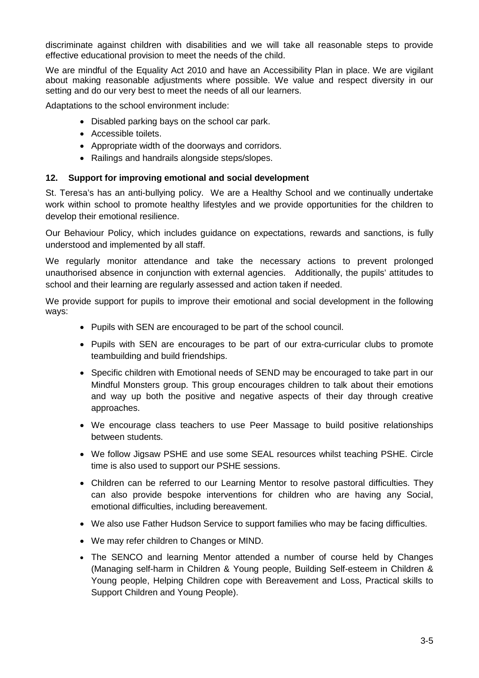discriminate against children with disabilities and we will take all reasonable steps to provide effective educational provision to meet the needs of the child.

We are mindful of the Equality Act 2010 and have an Accessibility Plan in place. We are vigilant about making reasonable adjustments where possible. We value and respect diversity in our setting and do our very best to meet the needs of all our learners.

Adaptations to the school environment include:

- Disabled parking bays on the school car park.
- Accessible toilets.
- Appropriate width of the doorways and corridors.
- Railings and handrails alongside steps/slopes.

#### **12. Support for improving emotional and social development**

St. Teresa's has an anti-bullying policy. We are a Healthy School and we continually undertake work within school to promote healthy lifestyles and we provide opportunities for the children to develop their emotional resilience.

Our Behaviour Policy, which includes guidance on expectations, rewards and sanctions, is fully understood and implemented by all staff.

We regularly monitor attendance and take the necessary actions to prevent prolonged unauthorised absence in conjunction with external agencies. Additionally, the pupils' attitudes to school and their learning are regularly assessed and action taken if needed.

We provide support for pupils to improve their emotional and social development in the following ways:

- Pupils with SEN are encouraged to be part of the school council.
- Pupils with SEN are encourages to be part of our extra-curricular clubs to promote teambuilding and build friendships.
- Specific children with Emotional needs of SEND may be encouraged to take part in our Mindful Monsters group. This group encourages children to talk about their emotions and way up both the positive and negative aspects of their day through creative approaches.
- We encourage class teachers to use Peer Massage to build positive relationships between students.
- We follow Jigsaw PSHE and use some SEAL resources whilst teaching PSHE. Circle time is also used to support our PSHE sessions.
- Children can be referred to our Learning Mentor to resolve pastoral difficulties. They can also provide bespoke interventions for children who are having any Social, emotional difficulties, including bereavement.
- We also use Father Hudson Service to support families who may be facing difficulties.
- We may refer children to Changes or MIND.
- The SENCO and learning Mentor attended a number of course held by Changes (Managing self-harm in Children & Young people, Building Self-esteem in Children & Young people, Helping Children cope with Bereavement and Loss, Practical skills to Support Children and Young People).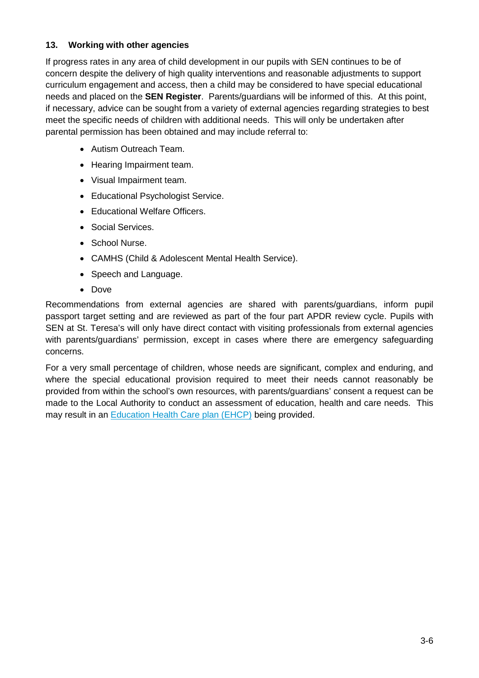# **13. Working with other agencies**

If progress rates in any area of child development in our pupils with SEN continues to be of concern despite the delivery of high quality interventions and reasonable adjustments to support curriculum engagement and access, then a child may be considered to have special educational needs and placed on the **SEN Register**. Parents/guardians will be informed of this. At this point, if necessary, advice can be sought from a variety of external agencies regarding strategies to best meet the specific needs of children with additional needs. This will only be undertaken after parental permission has been obtained and may include referral to:

- Autism Outreach Team.
- Hearing Impairment team.
- Visual Impairment team.
- Educational Psychologist Service.
- Educational Welfare Officers.
- Social Services.
- School Nurse.
- CAMHS (Child & Adolescent Mental Health Service).
- Speech and Language.
- Dove

Recommendations from external agencies are shared with parents/guardians, inform pupil passport target setting and are reviewed as part of the four part APDR review cycle. Pupils with SEN at St. Teresa's will only have direct contact with visiting professionals from external agencies with parents/guardians' permission, except in cases where there are emergency safeguarding concerns.

For a very small percentage of children, whose needs are significant, complex and enduring, and where the special educational provision required to meet their needs cannot reasonably be provided from within the school's own resources, with parents/guardians' consent a request can be made to the Local Authority to conduct an assessment of education, health and care needs. This may result in an [Education Health Care plan \(EHCP\)](https://www.staffordshireconnects.info/kb5/staffordshire/directory/site.page?id=aYb6AfFVT1s) being provided.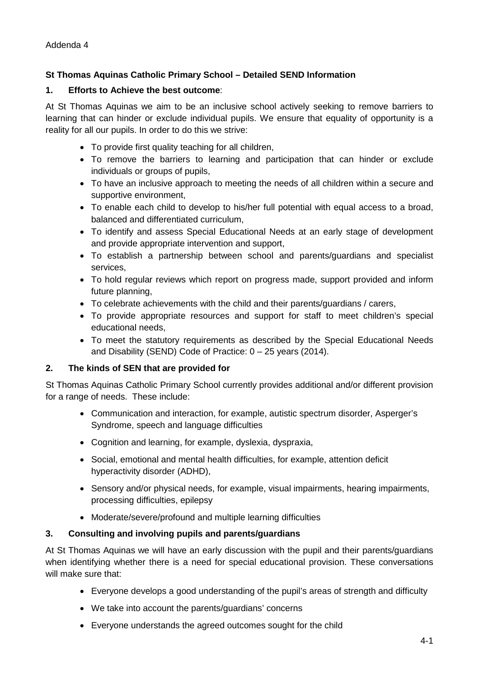# <span id="page-28-0"></span>**St Thomas Aquinas Catholic Primary School – Detailed SEND Information**

#### **1. Efforts to Achieve the best outcome**:

At St Thomas Aquinas we aim to be an inclusive school actively seeking to remove barriers to learning that can hinder or exclude individual pupils. We ensure that equality of opportunity is a reality for all our pupils. In order to do this we strive:

- To provide first quality teaching for all children,
- To remove the barriers to learning and participation that can hinder or exclude individuals or groups of pupils,
- To have an inclusive approach to meeting the needs of all children within a secure and supportive environment,
- To enable each child to develop to his/her full potential with equal access to a broad, balanced and differentiated curriculum,
- To identify and assess Special Educational Needs at an early stage of development and provide appropriate intervention and support,
- To establish a partnership between school and parents/guardians and specialist services,
- To hold regular reviews which report on progress made, support provided and inform future planning,
- To celebrate achievements with the child and their parents/guardians / carers,
- To provide appropriate resources and support for staff to meet children's special educational needs,
- To meet the statutory requirements as described by the Special Educational Needs and Disability (SEND) Code of Practice: 0 – 25 years (2014).

#### **2. The kinds of SEN that are provided for**

St Thomas Aquinas Catholic Primary School currently provides additional and/or different provision for a range of needs. These include:

- Communication and interaction, for example, autistic spectrum disorder, Asperger's Syndrome, speech and language difficulties
- Cognition and learning, for example, dyslexia, dyspraxia,
- Social, emotional and mental health difficulties, for example, attention deficit hyperactivity disorder (ADHD),
- Sensory and/or physical needs, for example, visual impairments, hearing impairments, processing difficulties, epilepsy
- Moderate/severe/profound and multiple learning difficulties

#### **3. Consulting and involving pupils and parents/guardians**

At St Thomas Aquinas we will have an early discussion with the pupil and their parents/guardians when identifying whether there is a need for special educational provision. These conversations will make sure that:

- Everyone develops a good understanding of the pupil's areas of strength and difficulty
- We take into account the parents/guardians' concerns
- Everyone understands the agreed outcomes sought for the child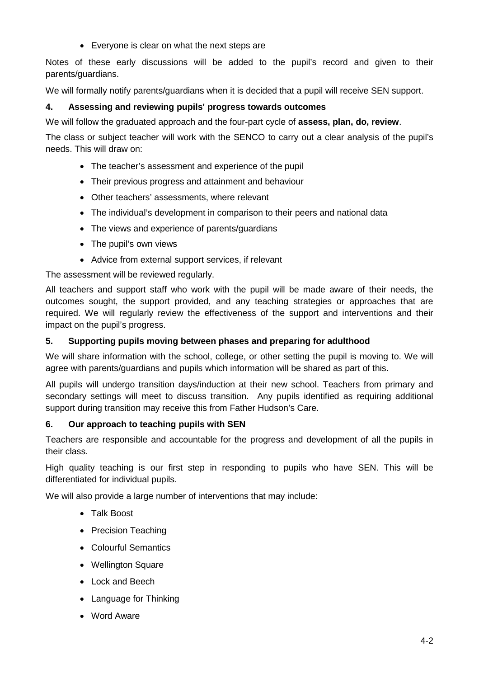• Everyone is clear on what the next steps are

Notes of these early discussions will be added to the pupil's record and given to their parents/guardians.

We will formally notify parents/guardians when it is decided that a pupil will receive SEN support.

# **4. Assessing and reviewing pupils' progress towards outcomes**

We will follow the graduated approach and the four-part cycle of **assess, plan, do, review**.

The class or subject teacher will work with the SENCO to carry out a clear analysis of the pupil's needs. This will draw on:

- The teacher's assessment and experience of the pupil
- Their previous progress and attainment and behaviour
- Other teachers' assessments, where relevant
- The individual's development in comparison to their peers and national data
- The views and experience of parents/guardians
- The pupil's own views
- Advice from external support services, if relevant

The assessment will be reviewed regularly.

All teachers and support staff who work with the pupil will be made aware of their needs, the outcomes sought, the support provided, and any teaching strategies or approaches that are required. We will regularly review the effectiveness of the support and interventions and their impact on the pupil's progress.

#### **5. Supporting pupils moving between phases and preparing for adulthood**

We will share information with the school, college, or other setting the pupil is moving to. We will agree with parents/guardians and pupils which information will be shared as part of this.

All pupils will undergo transition days/induction at their new school. Teachers from primary and secondary settings will meet to discuss transition. Any pupils identified as requiring additional support during transition may receive this from Father Hudson's Care.

#### **6. Our approach to teaching pupils with SEN**

Teachers are responsible and accountable for the progress and development of all the pupils in their class.

High quality teaching is our first step in responding to pupils who have SEN. This will be differentiated for individual pupils.

We will also provide a large number of interventions that may include:

- Talk Boost
- Precision Teaching
- Colourful Semantics
- Wellington Square
- Lock and Beech
- Language for Thinking
- Word Aware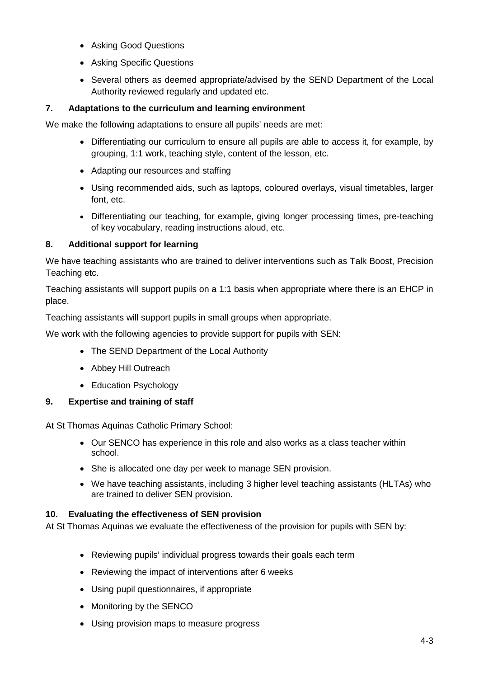- Asking Good Questions
- Asking Specific Questions
- Several others as deemed appropriate/advised by the SEND Department of the Local Authority reviewed regularly and updated etc.

# **7. Adaptations to the curriculum and learning environment**

We make the following adaptations to ensure all pupils' needs are met:

- Differentiating our curriculum to ensure all pupils are able to access it, for example, by grouping, 1:1 work, teaching style, content of the lesson, etc.
- Adapting our resources and staffing
- Using recommended aids, such as laptops, coloured overlays, visual timetables, larger font, etc.
- Differentiating our teaching, for example, giving longer processing times, pre-teaching of key vocabulary, reading instructions aloud, etc.

# **8. Additional support for learning**

We have teaching assistants who are trained to deliver interventions such as Talk Boost, Precision Teaching etc.

Teaching assistants will support pupils on a 1:1 basis when appropriate where there is an EHCP in place.

Teaching assistants will support pupils in small groups when appropriate.

We work with the following agencies to provide support for pupils with SEN:

- The SEND Department of the Local Authority
- Abbey Hill Outreach
- Education Psychology

# **9. Expertise and training of staff**

At St Thomas Aquinas Catholic Primary School:

- Our SENCO has experience in this role and also works as a class teacher within school.
- She is allocated one day per week to manage SEN provision.
- We have teaching assistants, including 3 higher level teaching assistants (HLTAs) who are trained to deliver SEN provision.

# **10. Evaluating the effectiveness of SEN provision**

At St Thomas Aquinas we evaluate the effectiveness of the provision for pupils with SEN by:

- Reviewing pupils' individual progress towards their goals each term
- Reviewing the impact of interventions after 6 weeks
- Using pupil questionnaires, if appropriate
- Monitoring by the SENCO
- Using provision maps to measure progress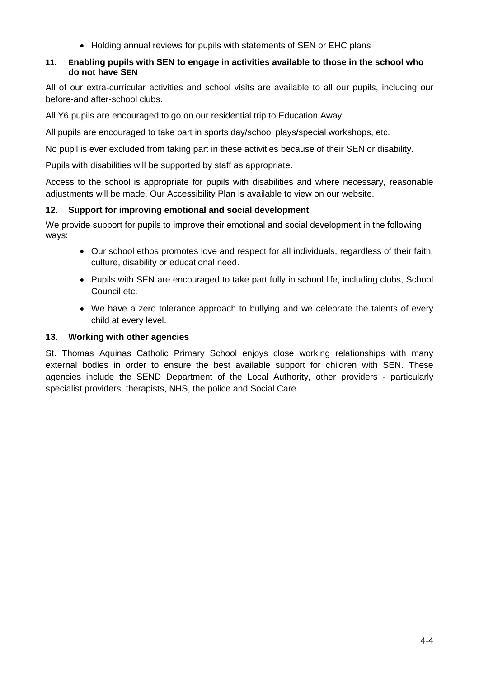• Holding annual reviews for pupils with statements of SEN or EHC plans

### **11. Enabling pupils with SEN to engage in activities available to those in the school who do not have SEN**

All of our extra-curricular activities and school visits are available to all our pupils, including our before-and after-school clubs.

All Y6 pupils are encouraged to go on our residential trip to Education Away.

All pupils are encouraged to take part in sports day/school plays/special workshops, etc.

No pupil is ever excluded from taking part in these activities because of their SEN or disability.

Pupils with disabilities will be supported by staff as appropriate.

Access to the school is appropriate for pupils with disabilities and where necessary, reasonable adjustments will be made. Our Accessibility Plan is available to view on our website.

# **12. Support for improving emotional and social development**

We provide support for pupils to improve their emotional and social development in the following ways:

- Our school ethos promotes love and respect for all individuals, regardless of their faith, culture, disability or educational need.
- Pupils with SEN are encouraged to take part fully in school life, including clubs, School Council etc.
- We have a zero tolerance approach to bullying and we celebrate the talents of every child at every level.

# **13. Working with other agencies**

St. Thomas Aquinas Catholic Primary School enjoys close working relationships with many external bodies in order to ensure the best available support for children with SEN. These agencies include the SEND Department of the Local Authority, other providers - particularly specialist providers, therapists, NHS, the police and Social Care.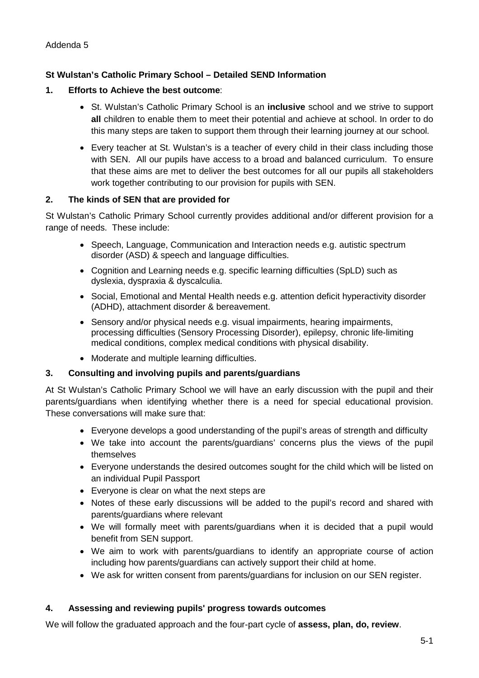### <span id="page-32-0"></span>**St Wulstan's Catholic Primary School – Detailed SEND Information**

#### **1. Efforts to Achieve the best outcome**:

- St. Wulstan's Catholic Primary School is an **inclusive** school and we strive to support **all** children to enable them to meet their potential and achieve at school. In order to do this many steps are taken to support them through their learning journey at our school.
- Every teacher at St. Wulstan's is a teacher of every child in their class including those with SEN. All our pupils have access to a broad and balanced curriculum. To ensure that these aims are met to deliver the best outcomes for all our pupils all stakeholders work together contributing to our provision for pupils with SEN.

#### **2. The kinds of SEN that are provided for**

St Wulstan's Catholic Primary School currently provides additional and/or different provision for a range of needs. These include:

- Speech, Language, Communication and Interaction needs e.g. autistic spectrum disorder (ASD) & speech and language difficulties.
- Cognition and Learning needs e.g. specific learning difficulties (SpLD) such as dyslexia, dyspraxia & dyscalculia.
- Social, Emotional and Mental Health needs e.g. attention deficit hyperactivity disorder (ADHD), attachment disorder & bereavement.
- Sensory and/or physical needs e.g. visual impairments, hearing impairments, processing difficulties (Sensory Processing Disorder), epilepsy, chronic life-limiting medical conditions, complex medical conditions with physical disability.
- Moderate and multiple learning difficulties.

#### **3. Consulting and involving pupils and parents/guardians**

At St Wulstan's Catholic Primary School we will have an early discussion with the pupil and their parents/guardians when identifying whether there is a need for special educational provision. These conversations will make sure that:

- Everyone develops a good understanding of the pupil's areas of strength and difficulty
- We take into account the parents/guardians' concerns plus the views of the pupil themselves
- Everyone understands the desired outcomes sought for the child which will be listed on an individual Pupil Passport
- Everyone is clear on what the next steps are
- Notes of these early discussions will be added to the pupil's record and shared with parents/guardians where relevant
- We will formally meet with parents/guardians when it is decided that a pupil would benefit from SEN support.
- We aim to work with parents/guardians to identify an appropriate course of action including how parents/guardians can actively support their child at home.
- We ask for written consent from parents/guardians for inclusion on our SEN register.

#### **4. Assessing and reviewing pupils' progress towards outcomes**

We will follow the graduated approach and the four-part cycle of **assess, plan, do, review**.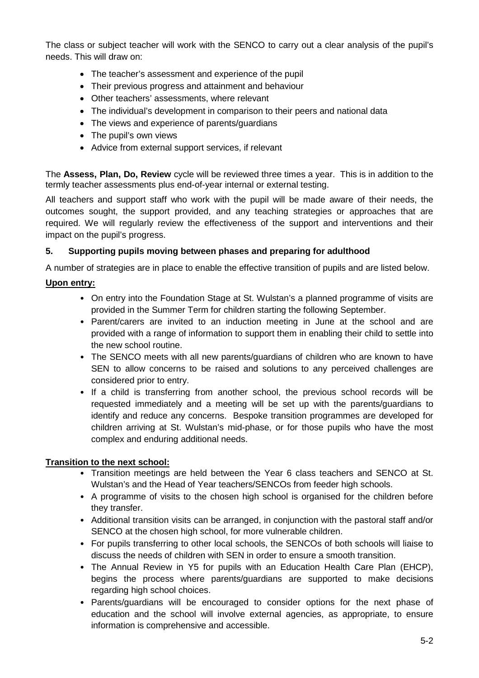The class or subject teacher will work with the SENCO to carry out a clear analysis of the pupil's needs. This will draw on:

- The teacher's assessment and experience of the pupil
- Their previous progress and attainment and behaviour
- Other teachers' assessments, where relevant
- The individual's development in comparison to their peers and national data
- The views and experience of parents/guardians
- The pupil's own views
- Advice from external support services, if relevant

The **Assess, Plan, Do, Review** cycle will be reviewed three times a year. This is in addition to the termly teacher assessments plus end-of-year internal or external testing.

All teachers and support staff who work with the pupil will be made aware of their needs, the outcomes sought, the support provided, and any teaching strategies or approaches that are required. We will regularly review the effectiveness of the support and interventions and their impact on the pupil's progress.

#### **5. Supporting pupils moving between phases and preparing for adulthood**

A number of strategies are in place to enable the effective transition of pupils and are listed below.

#### **Upon entry:**

- On entry into the Foundation Stage at St. Wulstan's a planned programme of visits are provided in the Summer Term for children starting the following September.
- Parent/carers are invited to an induction meeting in June at the school and are provided with a range of information to support them in enabling their child to settle into the new school routine.
- The SENCO meets with all new parents/guardians of children who are known to have SEN to allow concerns to be raised and solutions to any perceived challenges are considered prior to entry.
- If a child is transferring from another school, the previous school records will be requested immediately and a meeting will be set up with the parents/guardians to identify and reduce any concerns. Bespoke transition programmes are developed for children arriving at St. Wulstan's mid-phase, or for those pupils who have the most complex and enduring additional needs.

#### **Transition to the next school:**

- Transition meetings are held between the Year 6 class teachers and SENCO at St. Wulstan's and the Head of Year teachers/SENCOs from feeder high schools.
- A programme of visits to the chosen high school is organised for the children before they transfer.
- Additional transition visits can be arranged, in conjunction with the pastoral staff and/or SENCO at the chosen high school, for more vulnerable children.
- For pupils transferring to other local schools, the SENCOs of both schools will liaise to discuss the needs of children with SEN in order to ensure a smooth transition.
- The Annual Review in Y5 for pupils with an Education Health Care Plan (EHCP), begins the process where parents/guardians are supported to make decisions regarding high school choices.
- Parents/guardians will be encouraged to consider options for the next phase of education and the school will involve external agencies, as appropriate, to ensure information is comprehensive and accessible.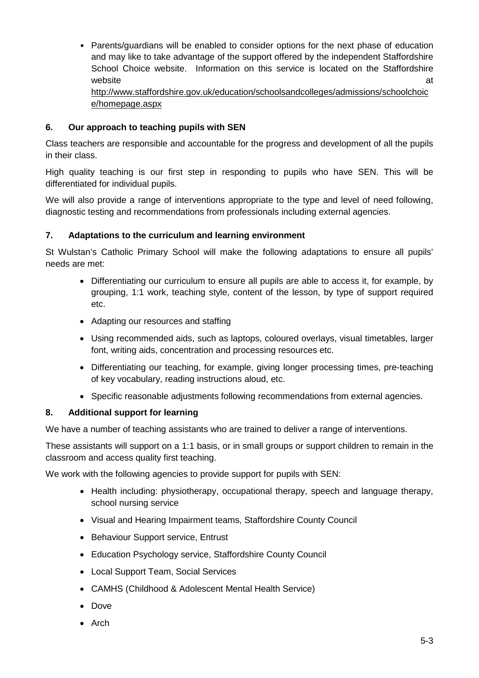• Parents/guardians will be enabled to consider options for the next phase of education and may like to take advantage of the support offered by the independent Staffordshire School Choice website. Information on this service is located on the Staffordshire website and a state of the state of the state and a state of the state and a state of the state and a state of [http://www.staffordshire.gov.uk/education/schoolsandcolleges/admissions/schoolchoic](http://www.staffordshire.gov.uk/education/schoolsandcolleges/admissions/schoolchoice/homepage.aspx) [e/homepage.aspx](http://www.staffordshire.gov.uk/education/schoolsandcolleges/admissions/schoolchoice/homepage.aspx)

## **6. Our approach to teaching pupils with SEN**

Class teachers are responsible and accountable for the progress and development of all the pupils in their class.

High quality teaching is our first step in responding to pupils who have SEN. This will be differentiated for individual pupils.

We will also provide a range of interventions appropriate to the type and level of need following, diagnostic testing and recommendations from professionals including external agencies.

#### **7. Adaptations to the curriculum and learning environment**

St Wulstan's Catholic Primary School will make the following adaptations to ensure all pupils' needs are met:

- Differentiating our curriculum to ensure all pupils are able to access it, for example, by grouping, 1:1 work, teaching style, content of the lesson, by type of support required etc.
- Adapting our resources and staffing
- Using recommended aids, such as laptops, coloured overlays, visual timetables, larger font, writing aids, concentration and processing resources etc.
- Differentiating our teaching, for example, giving longer processing times, pre-teaching of key vocabulary, reading instructions aloud, etc.
- Specific reasonable adjustments following recommendations from external agencies.

#### **8. Additional support for learning**

We have a number of teaching assistants who are trained to deliver a range of interventions.

These assistants will support on a 1:1 basis, or in small groups or support children to remain in the classroom and access quality first teaching.

We work with the following agencies to provide support for pupils with SEN:

- Health including: physiotherapy, occupational therapy, speech and language therapy, school nursing service
- Visual and Hearing Impairment teams, Staffordshire County Council
- Behaviour Support service, Entrust
- Education Psychology service, Staffordshire County Council
- Local Support Team, Social Services
- CAMHS (Childhood & Adolescent Mental Health Service)
- Dove
- Arch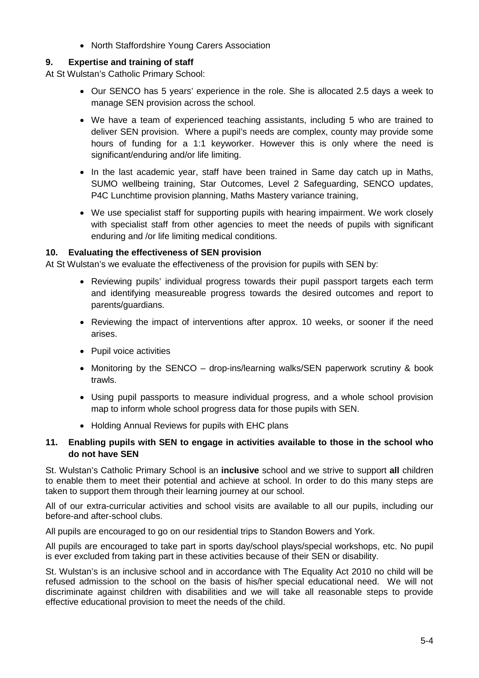• North Staffordshire Young Carers Association

### **9. Expertise and training of staff**

At St Wulstan's Catholic Primary School:

- Our SENCO has 5 years' experience in the role. She is allocated 2.5 days a week to manage SEN provision across the school.
- We have a team of experienced teaching assistants, including 5 who are trained to deliver SEN provision. Where a pupil's needs are complex, county may provide some hours of funding for a 1:1 keyworker. However this is only where the need is significant/enduring and/or life limiting.
- In the last academic year, staff have been trained in Same day catch up in Maths, SUMO wellbeing training, Star Outcomes, Level 2 Safeguarding, SENCO updates, P4C Lunchtime provision planning, Maths Mastery variance training,
- We use specialist staff for supporting pupils with hearing impairment. We work closely with specialist staff from other agencies to meet the needs of pupils with significant enduring and /or life limiting medical conditions.

#### **10. Evaluating the effectiveness of SEN provision**

At St Wulstan's we evaluate the effectiveness of the provision for pupils with SEN by:

- Reviewing pupils' individual progress towards their pupil passport targets each term and identifying measureable progress towards the desired outcomes and report to parents/guardians.
- Reviewing the impact of interventions after approx. 10 weeks, or sooner if the need arises.
- Pupil voice activities
- Monitoring by the SENCO drop-ins/learning walks/SEN paperwork scrutiny & book trawls.
- Using pupil passports to measure individual progress, and a whole school provision map to inform whole school progress data for those pupils with SEN.
- Holding Annual Reviews for pupils with EHC plans

#### **11. Enabling pupils with SEN to engage in activities available to those in the school who do not have SEN**

St. Wulstan's Catholic Primary School is an **inclusive** school and we strive to support **all** children to enable them to meet their potential and achieve at school. In order to do this many steps are taken to support them through their learning journey at our school.

All of our extra-curricular activities and school visits are available to all our pupils, including our before-and after-school clubs.

All pupils are encouraged to go on our residential trips to Standon Bowers and York.

All pupils are encouraged to take part in sports day/school plays/special workshops, etc. No pupil is ever excluded from taking part in these activities because of their SEN or disability.

St. Wulstan's is an inclusive school and in accordance with The Equality Act 2010 no child will be refused admission to the school on the basis of his/her special educational need. We will not discriminate against children with disabilities and we will take all reasonable steps to provide effective educational provision to meet the needs of the child.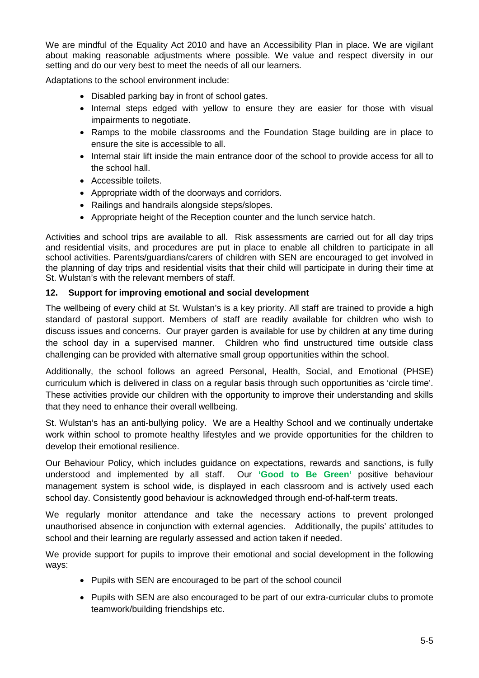We are mindful of the Equality Act 2010 and have an Accessibility Plan in place. We are vigilant about making reasonable adjustments where possible. We value and respect diversity in our setting and do our very best to meet the needs of all our learners.

Adaptations to the school environment include:

- Disabled parking bay in front of school gates.
- Internal steps edged with yellow to ensure they are easier for those with visual impairments to negotiate.
- Ramps to the mobile classrooms and the Foundation Stage building are in place to ensure the site is accessible to all.
- Internal stair lift inside the main entrance door of the school to provide access for all to the school hall.
- Accessible toilets.
- Appropriate width of the doorways and corridors.
- Railings and handrails alongside steps/slopes.
- Appropriate height of the Reception counter and the lunch service hatch.

Activities and school trips are available to all. Risk assessments are carried out for all day trips and residential visits, and procedures are put in place to enable all children to participate in all school activities. Parents/guardians/carers of children with SEN are encouraged to get involved in the planning of day trips and residential visits that their child will participate in during their time at St. Wulstan's with the relevant members of staff.

#### **12. Support for improving emotional and social development**

The wellbeing of every child at St. Wulstan's is a key priority. All staff are trained to provide a high standard of pastoral support. Members of staff are readily available for children who wish to discuss issues and concerns. Our prayer garden is available for use by children at any time during the school day in a supervised manner. Children who find unstructured time outside class challenging can be provided with alternative small group opportunities within the school.

Additionally, the school follows an agreed Personal, Health, Social, and Emotional (PHSE) curriculum which is delivered in class on a regular basis through such opportunities as 'circle time'. These activities provide our children with the opportunity to improve their understanding and skills that they need to enhance their overall wellbeing.

St. Wulstan's has an anti-bullying policy. We are a Healthy School and we continually undertake work within school to promote healthy lifestyles and we provide opportunities for the children to develop their emotional resilience.

Our Behaviour Policy, which includes guidance on expectations, rewards and sanctions, is fully understood and implemented by all staff. Our **'Good to Be Green'** positive behaviour management system is school wide, is displayed in each classroom and is actively used each school day. Consistently good behaviour is acknowledged through end-of-half-term treats.

We regularly monitor attendance and take the necessary actions to prevent prolonged unauthorised absence in conjunction with external agencies. Additionally, the pupils' attitudes to school and their learning are regularly assessed and action taken if needed.

We provide support for pupils to improve their emotional and social development in the following ways:

- Pupils with SEN are encouraged to be part of the school council
- Pupils with SEN are also encouraged to be part of our extra-curricular clubs to promote teamwork/building friendships etc.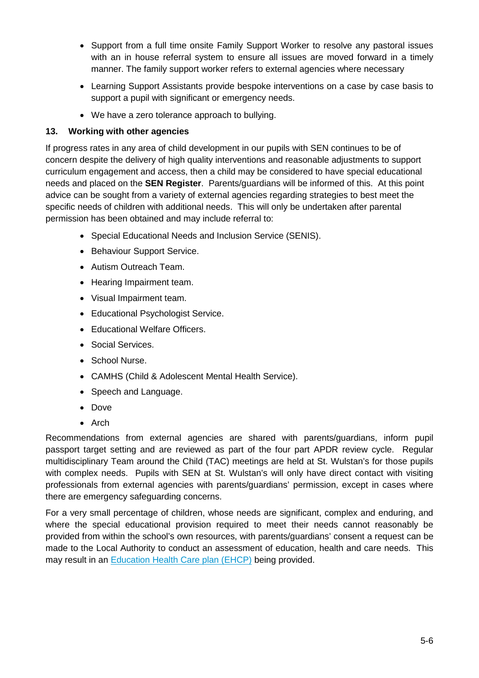- Support from a full time onsite Family Support Worker to resolve any pastoral issues with an in house referral system to ensure all issues are moved forward in a timely manner. The family support worker refers to external agencies where necessary
- Learning Support Assistants provide bespoke interventions on a case by case basis to support a pupil with significant or emergency needs.
- We have a zero tolerance approach to bullying.

# **13. Working with other agencies**

If progress rates in any area of child development in our pupils with SEN continues to be of concern despite the delivery of high quality interventions and reasonable adjustments to support curriculum engagement and access, then a child may be considered to have special educational needs and placed on the **SEN Register**. Parents/guardians will be informed of this. At this point advice can be sought from a variety of external agencies regarding strategies to best meet the specific needs of children with additional needs. This will only be undertaken after parental permission has been obtained and may include referral to:

- Special Educational Needs and Inclusion Service (SENIS).
- Behaviour Support Service.
- Autism Outreach Team.
- Hearing Impairment team.
- Visual Impairment team.
- Educational Psychologist Service.
- Educational Welfare Officers.
- Social Services.
- School Nurse.
- CAMHS (Child & Adolescent Mental Health Service).
- Speech and Language.
- Dove
- Arch

Recommendations from external agencies are shared with parents/guardians, inform pupil passport target setting and are reviewed as part of the four part APDR review cycle. Regular multidisciplinary Team around the Child (TAC) meetings are held at St. Wulstan's for those pupils with complex needs. Pupils with SEN at St. Wulstan's will only have direct contact with visiting professionals from external agencies with parents/guardians' permission, except in cases where there are emergency safeguarding concerns.

For a very small percentage of children, whose needs are significant, complex and enduring, and where the special educational provision required to meet their needs cannot reasonably be provided from within the school's own resources, with parents/guardians' consent a request can be made to the Local Authority to conduct an assessment of education, health and care needs. This may result in an [Education Health Care plan \(EHCP\)](https://www.staffordshireconnects.info/kb5/staffordshire/directory/site.page?id=aYb6AfFVT1s) being provided.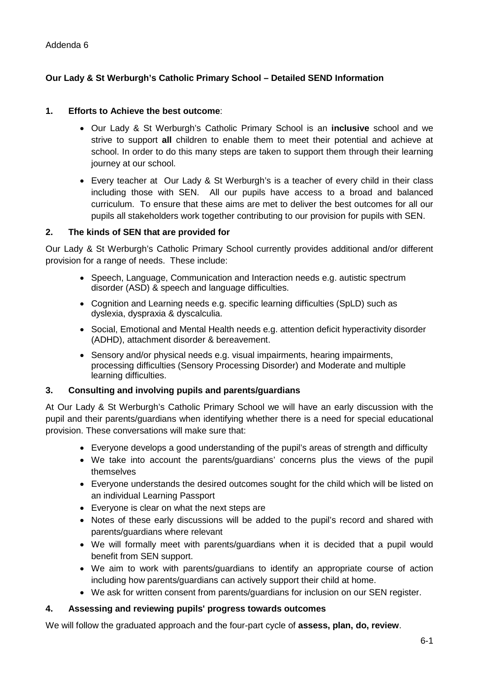# <span id="page-38-0"></span>**Our Lady & St Werburgh's Catholic Primary School – Detailed SEND Information**

#### **1. Efforts to Achieve the best outcome**:

- Our Lady & St Werburgh's Catholic Primary School is an **inclusive** school and we strive to support **all** children to enable them to meet their potential and achieve at school. In order to do this many steps are taken to support them through their learning journey at our school.
- Every teacher at Our Lady & St Werburgh's is a teacher of every child in their class including those with SEN. All our pupils have access to a broad and balanced curriculum. To ensure that these aims are met to deliver the best outcomes for all our pupils all stakeholders work together contributing to our provision for pupils with SEN.

#### **2. The kinds of SEN that are provided for**

Our Lady & St Werburgh's Catholic Primary School currently provides additional and/or different provision for a range of needs. These include:

- Speech, Language, Communication and Interaction needs e.g. autistic spectrum disorder (ASD) & speech and language difficulties.
- Cognition and Learning needs e.g. specific learning difficulties (SpLD) such as dyslexia, dyspraxia & dyscalculia.
- Social, Emotional and Mental Health needs e.g. attention deficit hyperactivity disorder (ADHD), attachment disorder & bereavement.
- Sensory and/or physical needs e.g. visual impairments, hearing impairments, processing difficulties (Sensory Processing Disorder) and Moderate and multiple learning difficulties.

#### **3. Consulting and involving pupils and parents/guardians**

At Our Lady & St Werburgh's Catholic Primary School we will have an early discussion with the pupil and their parents/guardians when identifying whether there is a need for special educational provision. These conversations will make sure that:

- Everyone develops a good understanding of the pupil's areas of strength and difficulty
- We take into account the parents/guardians' concerns plus the views of the pupil themselves
- Everyone understands the desired outcomes sought for the child which will be listed on an individual Learning Passport
- Everyone is clear on what the next steps are
- Notes of these early discussions will be added to the pupil's record and shared with parents/guardians where relevant
- We will formally meet with parents/guardians when it is decided that a pupil would benefit from SEN support.
- We aim to work with parents/guardians to identify an appropriate course of action including how parents/guardians can actively support their child at home.
- We ask for written consent from parents/guardians for inclusion on our SEN register.

#### **4. Assessing and reviewing pupils' progress towards outcomes**

We will follow the graduated approach and the four-part cycle of **assess, plan, do, review**.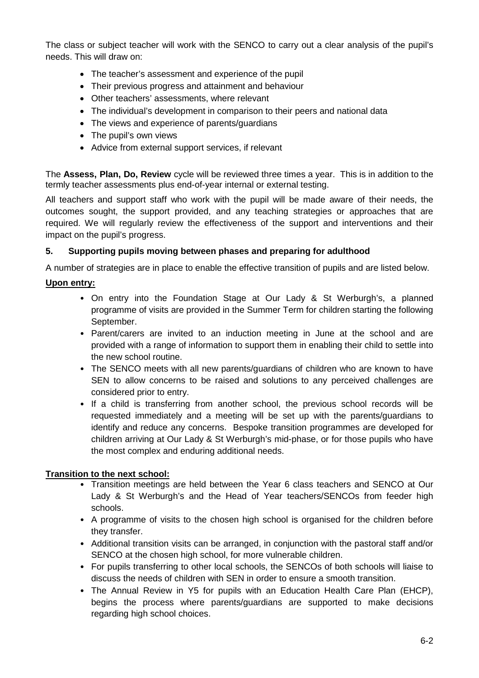The class or subject teacher will work with the SENCO to carry out a clear analysis of the pupil's needs. This will draw on:

- The teacher's assessment and experience of the pupil
- Their previous progress and attainment and behaviour
- Other teachers' assessments, where relevant
- The individual's development in comparison to their peers and national data
- The views and experience of parents/guardians
- The pupil's own views
- Advice from external support services, if relevant

The **Assess, Plan, Do, Review** cycle will be reviewed three times a year. This is in addition to the termly teacher assessments plus end-of-year internal or external testing.

All teachers and support staff who work with the pupil will be made aware of their needs, the outcomes sought, the support provided, and any teaching strategies or approaches that are required. We will regularly review the effectiveness of the support and interventions and their impact on the pupil's progress.

#### **5. Supporting pupils moving between phases and preparing for adulthood**

A number of strategies are in place to enable the effective transition of pupils and are listed below.

#### **Upon entry:**

- On entry into the Foundation Stage at Our Lady & St Werburgh's, a planned programme of visits are provided in the Summer Term for children starting the following September.
- Parent/carers are invited to an induction meeting in June at the school and are provided with a range of information to support them in enabling their child to settle into the new school routine.
- The SENCO meets with all new parents/guardians of children who are known to have SEN to allow concerns to be raised and solutions to any perceived challenges are considered prior to entry.
- If a child is transferring from another school, the previous school records will be requested immediately and a meeting will be set up with the parents/guardians to identify and reduce any concerns. Bespoke transition programmes are developed for children arriving at Our Lady & St Werburgh's mid-phase, or for those pupils who have the most complex and enduring additional needs.

#### **Transition to the next school:**

- Transition meetings are held between the Year 6 class teachers and SENCO at Our Lady & St Werburgh's and the Head of Year teachers/SENCOs from feeder high schools.
- A programme of visits to the chosen high school is organised for the children before they transfer.
- Additional transition visits can be arranged, in conjunction with the pastoral staff and/or SENCO at the chosen high school, for more vulnerable children.
- For pupils transferring to other local schools, the SENCOs of both schools will liaise to discuss the needs of children with SEN in order to ensure a smooth transition.
- The Annual Review in Y5 for pupils with an Education Health Care Plan (EHCP), begins the process where parents/guardians are supported to make decisions regarding high school choices.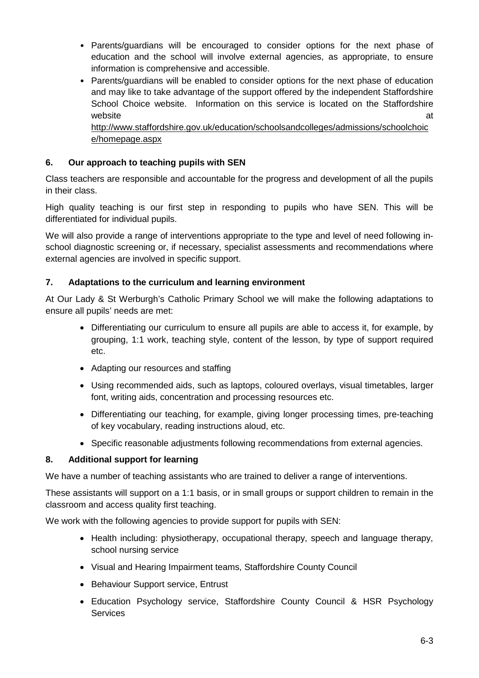- Parents/guardians will be encouraged to consider options for the next phase of education and the school will involve external agencies, as appropriate, to ensure information is comprehensive and accessible.
- Parents/guardians will be enabled to consider options for the next phase of education and may like to take advantage of the support offered by the independent Staffordshire School Choice website. Information on this service is located on the Staffordshire website and a state of the state and a state of the state and a state and a state and a state and a state and a [http://www.staffordshire.gov.uk/education/schoolsandcolleges/admissions/schoolchoic](http://www.staffordshire.gov.uk/education/schoolsandcolleges/admissions/schoolchoice/homepage.aspx) [e/homepage.aspx](http://www.staffordshire.gov.uk/education/schoolsandcolleges/admissions/schoolchoice/homepage.aspx)

# **6. Our approach to teaching pupils with SEN**

Class teachers are responsible and accountable for the progress and development of all the pupils in their class.

High quality teaching is our first step in responding to pupils who have SEN. This will be differentiated for individual pupils.

We will also provide a range of interventions appropriate to the type and level of need following inschool diagnostic screening or, if necessary, specialist assessments and recommendations where external agencies are involved in specific support.

#### **7. Adaptations to the curriculum and learning environment**

At Our Lady & St Werburgh's Catholic Primary School we will make the following adaptations to ensure all pupils' needs are met:

- Differentiating our curriculum to ensure all pupils are able to access it, for example, by grouping, 1:1 work, teaching style, content of the lesson, by type of support required etc.
- Adapting our resources and staffing
- Using recommended aids, such as laptops, coloured overlays, visual timetables, larger font, writing aids, concentration and processing resources etc.
- Differentiating our teaching, for example, giving longer processing times, pre-teaching of key vocabulary, reading instructions aloud, etc.
- Specific reasonable adjustments following recommendations from external agencies.

# **8. Additional support for learning**

We have a number of teaching assistants who are trained to deliver a range of interventions.

These assistants will support on a 1:1 basis, or in small groups or support children to remain in the classroom and access quality first teaching.

We work with the following agencies to provide support for pupils with SEN:

- Health including: physiotherapy, occupational therapy, speech and language therapy, school nursing service
- Visual and Hearing Impairment teams, Staffordshire County Council
- Behaviour Support service, Entrust
- Education Psychology service, Staffordshire County Council & HSR Psychology **Services**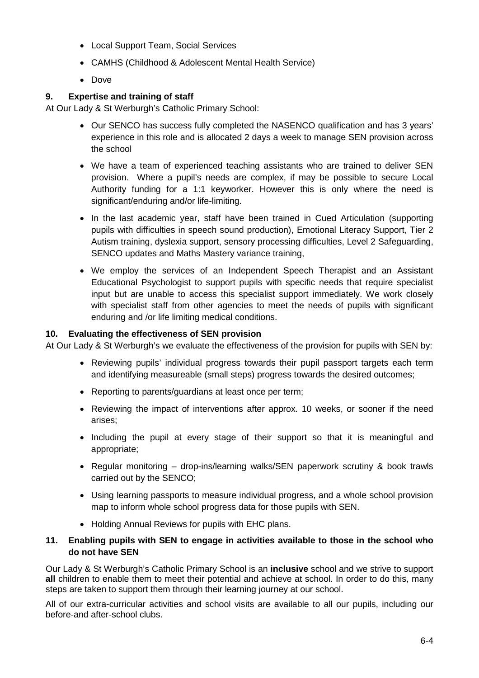- Local Support Team, Social Services
- CAMHS (Childhood & Adolescent Mental Health Service)
- Dove

#### **9. Expertise and training of staff**

At Our Lady & St Werburgh's Catholic Primary School:

- Our SENCO has success fully completed the NASENCO qualification and has 3 years' experience in this role and is allocated 2 days a week to manage SEN provision across the school
- We have a team of experienced teaching assistants who are trained to deliver SEN provision. Where a pupil's needs are complex, if may be possible to secure Local Authority funding for a 1:1 keyworker. However this is only where the need is significant/enduring and/or life-limiting.
- In the last academic year, staff have been trained in Cued Articulation (supporting pupils with difficulties in speech sound production), Emotional Literacy Support, Tier 2 Autism training, dyslexia support, sensory processing difficulties, Level 2 Safeguarding, SENCO updates and Maths Mastery variance training,
- We employ the services of an Independent Speech Therapist and an Assistant Educational Psychologist to support pupils with specific needs that require specialist input but are unable to access this specialist support immediately. We work closely with specialist staff from other agencies to meet the needs of pupils with significant enduring and /or life limiting medical conditions.

#### **10. Evaluating the effectiveness of SEN provision**

At Our Lady & St Werburgh's we evaluate the effectiveness of the provision for pupils with SEN by:

- Reviewing pupils' individual progress towards their pupil passport targets each term and identifying measureable (small steps) progress towards the desired outcomes;
- Reporting to parents/guardians at least once per term;
- Reviewing the impact of interventions after approx. 10 weeks, or sooner if the need arises;
- Including the pupil at every stage of their support so that it is meaningful and appropriate;
- Regular monitoring drop-ins/learning walks/SEN paperwork scrutiny & book trawls carried out by the SENCO;
- Using learning passports to measure individual progress, and a whole school provision map to inform whole school progress data for those pupils with SEN.
- Holding Annual Reviews for pupils with EHC plans.

#### **11. Enabling pupils with SEN to engage in activities available to those in the school who do not have SEN**

Our Lady & St Werburgh's Catholic Primary School is an **inclusive** school and we strive to support **all** children to enable them to meet their potential and achieve at school. In order to do this, many steps are taken to support them through their learning journey at our school.

All of our extra-curricular activities and school visits are available to all our pupils, including our before-and after-school clubs.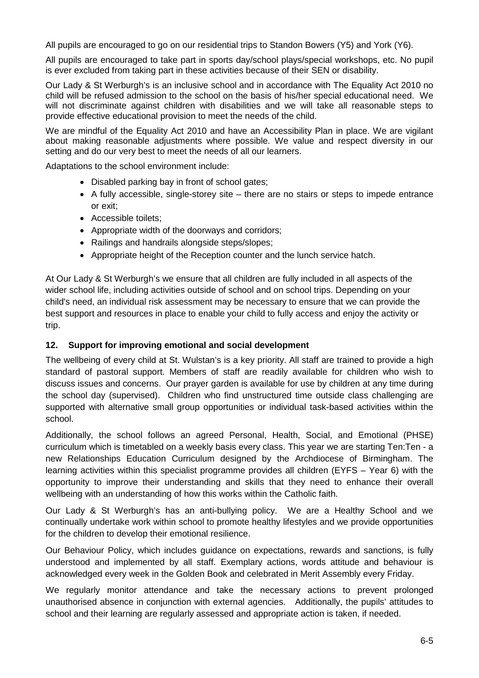All pupils are encouraged to go on our residential trips to Standon Bowers (Y5) and York (Y6).

All pupils are encouraged to take part in sports day/school plays/special workshops, etc. No pupil is ever excluded from taking part in these activities because of their SEN or disability.

Our Lady & St Werburgh's is an inclusive school and in accordance with The Equality Act 2010 no child will be refused admission to the school on the basis of his/her special educational need. We will not discriminate against children with disabilities and we will take all reasonable steps to provide effective educational provision to meet the needs of the child.

We are mindful of the Equality Act 2010 and have an Accessibility Plan in place. We are vigilant about making reasonable adjustments where possible. We value and respect diversity in our setting and do our very best to meet the needs of all our learners.

Adaptations to the school environment include:

- Disabled parking bay in front of school gates;
- A fully accessible, single-storey site there are no stairs or steps to impede entrance or exit;
- Accessible toilets;
- Appropriate width of the doorways and corridors;
- Railings and handrails alongside steps/slopes;
- Appropriate height of the Reception counter and the lunch service hatch.

At Our Lady & St Werburgh's we ensure that all children are fully included in all aspects of the wider school life, including activities outside of school and on school trips. Depending on your child's need, an individual risk assessment may be necessary to ensure that we can provide the best support and resources in place to enable your child to fully access and enjoy the activity or trip.

#### **12. Support for improving emotional and social development**

The wellbeing of every child at St. Wulstan's is a key priority. All staff are trained to provide a high standard of pastoral support. Members of staff are readily available for children who wish to discuss issues and concerns. Our prayer garden is available for use by children at any time during the school day (supervised). Children who find unstructured time outside class challenging are supported with alternative small group opportunities or individual task-based activities within the school.

Additionally, the school follows an agreed Personal, Health, Social, and Emotional (PHSE) curriculum which is timetabled on a weekly basis every class. This year we are starting Ten:Ten - a new Relationships Education Curriculum designed by the Archdiocese of Birmingham. The learning activities within this specialist programme provides all children (EYFS – Year 6) with the opportunity to improve their understanding and skills that they need to enhance their overall wellbeing with an understanding of how this works within the Catholic faith.

Our Lady & St Werburgh's has an anti-bullying policy. We are a Healthy School and we continually undertake work within school to promote healthy lifestyles and we provide opportunities for the children to develop their emotional resilience.

Our Behaviour Policy, which includes guidance on expectations, rewards and sanctions, is fully understood and implemented by all staff. Exemplary actions, words attitude and behaviour is acknowledged every week in the Golden Book and celebrated in Merit Assembly every Friday.

We regularly monitor attendance and take the necessary actions to prevent prolonged unauthorised absence in conjunction with external agencies. Additionally, the pupils' attitudes to school and their learning are regularly assessed and appropriate action is taken, if needed.